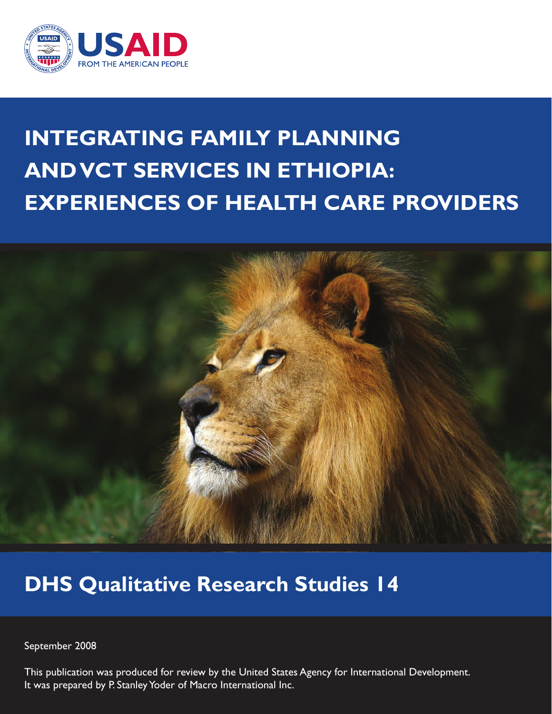

# **INTEGRATING FAMILY PLANNING AND VCT SERVICES IN ETHIOPIA: EXPERIENCES OF HEALTH CARE PROVIDERS**



## **DHS Qualitative Research Studies 14**

September 2008

This publication was produced for review by the United States Agency for International Development. It was prepared by P. Stanley Yoder of Macro International Inc.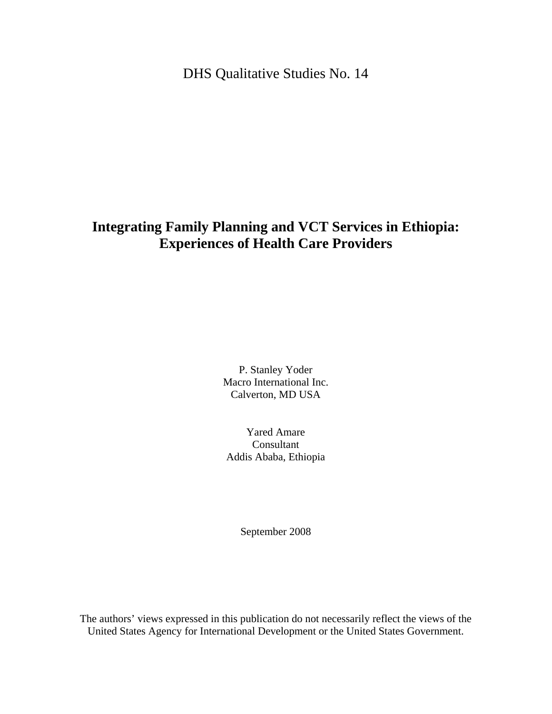DHS Qualitative Studies No. 14

## **Integrating Family Planning and VCT Services in Ethiopia: Experiences of Health Care Providers**

P. Stanley Yoder Macro International Inc. Calverton, MD USA

Yared Amare Consultant Addis Ababa, Ethiopia

September 2008

The authors' views expressed in this publication do not necessarily reflect the views of the United States Agency for International Development or the United States Government.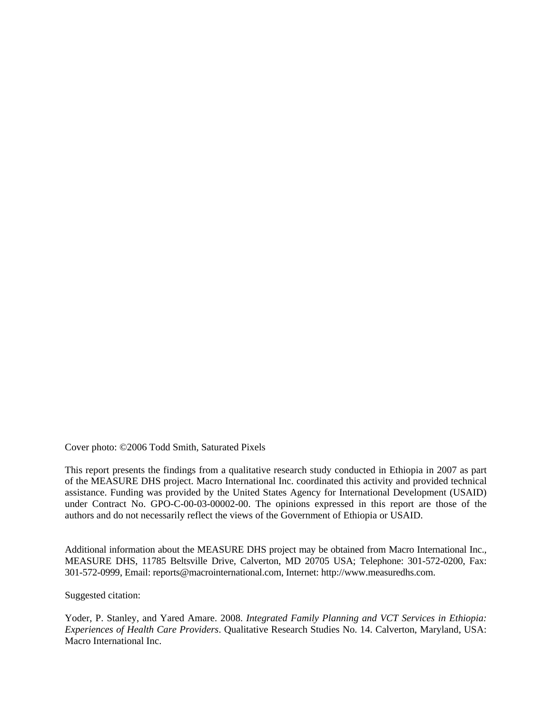Cover photo: ©2006 Todd Smith, Saturated Pixels

This report presents the findings from a qualitative research study conducted in Ethiopia in 2007 as part of the MEASURE DHS project. Macro International Inc. coordinated this activity and provided technical assistance. Funding was provided by the United States Agency for International Development (USAID) under Contract No. GPO-C-00-03-00002-00. The opinions expressed in this report are those of the authors and do not necessarily reflect the views of the Government of Ethiopia or USAID.

Additional information about the MEASURE DHS project may be obtained from Macro International Inc., MEASURE DHS, 11785 Beltsville Drive, Calverton, MD 20705 USA; Telephone: 301-572-0200, Fax: 301-572-0999, Email: reports@macrointernational.com, Internet: http://www.measuredhs.com.

Suggested citation:

Yoder, P. Stanley, and Yared Amare. 2008. *Integrated Family Planning and VCT Services in Ethiopia: Experiences of Health Care Providers*. Qualitative Research Studies No. 14. Calverton, Maryland, USA: Macro International Inc.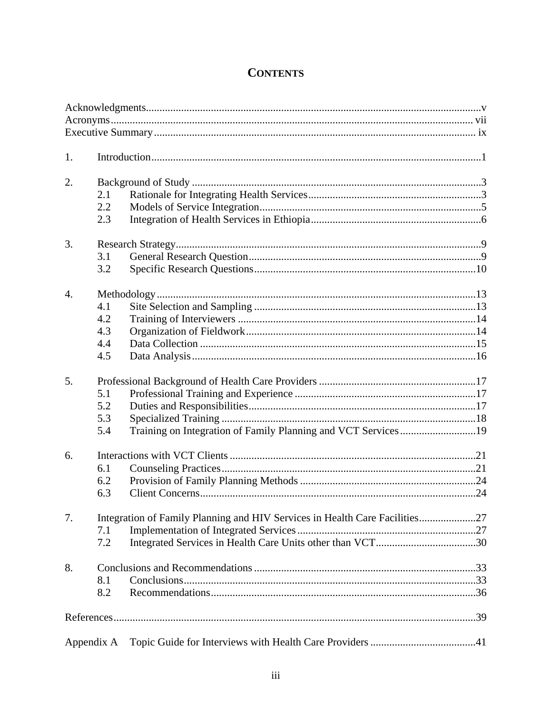## **CONTENTS**

| 1.               |     |                                                                             |  |  |
|------------------|-----|-----------------------------------------------------------------------------|--|--|
| 2.               |     |                                                                             |  |  |
|                  | 2.1 |                                                                             |  |  |
|                  | 2.2 |                                                                             |  |  |
|                  | 2.3 |                                                                             |  |  |
|                  |     |                                                                             |  |  |
| 3.               |     |                                                                             |  |  |
|                  | 3.1 |                                                                             |  |  |
|                  | 3.2 |                                                                             |  |  |
| $\overline{4}$ . |     |                                                                             |  |  |
|                  | 4.1 |                                                                             |  |  |
|                  | 4.2 |                                                                             |  |  |
|                  | 4.3 |                                                                             |  |  |
|                  | 4.4 |                                                                             |  |  |
|                  | 4.5 |                                                                             |  |  |
|                  |     |                                                                             |  |  |
| 5.               |     |                                                                             |  |  |
|                  | 5.1 |                                                                             |  |  |
|                  | 5.2 |                                                                             |  |  |
|                  | 5.3 |                                                                             |  |  |
|                  | 5.4 | Training on Integration of Family Planning and VCT Services19               |  |  |
| 6.               |     |                                                                             |  |  |
|                  | 6.1 |                                                                             |  |  |
|                  | 6.2 |                                                                             |  |  |
|                  | 6.3 |                                                                             |  |  |
|                  |     |                                                                             |  |  |
| 7.               |     | Integration of Family Planning and HIV Services in Health Care Facilities27 |  |  |
|                  | 7.1 |                                                                             |  |  |
|                  | 7.2 |                                                                             |  |  |
| 8.               |     |                                                                             |  |  |
|                  | 8.1 |                                                                             |  |  |
|                  | 8.2 |                                                                             |  |  |
|                  |     |                                                                             |  |  |
|                  |     |                                                                             |  |  |
| Appendix A       |     |                                                                             |  |  |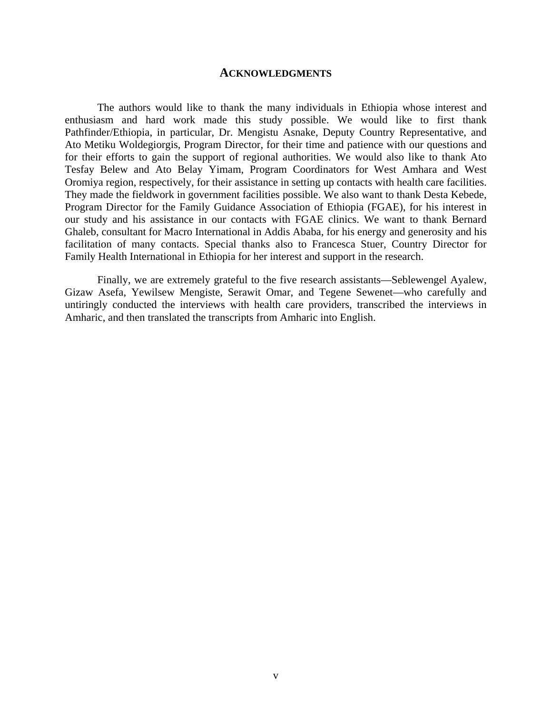#### **ACKNOWLEDGMENTS**

The authors would like to thank the many individuals in Ethiopia whose interest and enthusiasm and hard work made this study possible. We would like to first thank Pathfinder/Ethiopia, in particular, Dr. Mengistu Asnake, Deputy Country Representative, and Ato Metiku Woldegiorgis, Program Director, for their time and patience with our questions and for their efforts to gain the support of regional authorities. We would also like to thank Ato Tesfay Belew and Ato Belay Yimam, Program Coordinators for West Amhara and West Oromiya region, respectively, for their assistance in setting up contacts with health care facilities. They made the fieldwork in government facilities possible. We also want to thank Desta Kebede, Program Director for the Family Guidance Association of Ethiopia (FGAE), for his interest in our study and his assistance in our contacts with FGAE clinics. We want to thank Bernard Ghaleb, consultant for Macro International in Addis Ababa, for his energy and generosity and his facilitation of many contacts. Special thanks also to Francesca Stuer, Country Director for Family Health International in Ethiopia for her interest and support in the research.

Finally, we are extremely grateful to the five research assistants—Seblewengel Ayalew, Gizaw Asefa, Yewilsew Mengiste, Serawit Omar, and Tegene Sewenet—who carefully and untiringly conducted the interviews with health care providers, transcribed the interviews in Amharic, and then translated the transcripts from Amharic into English.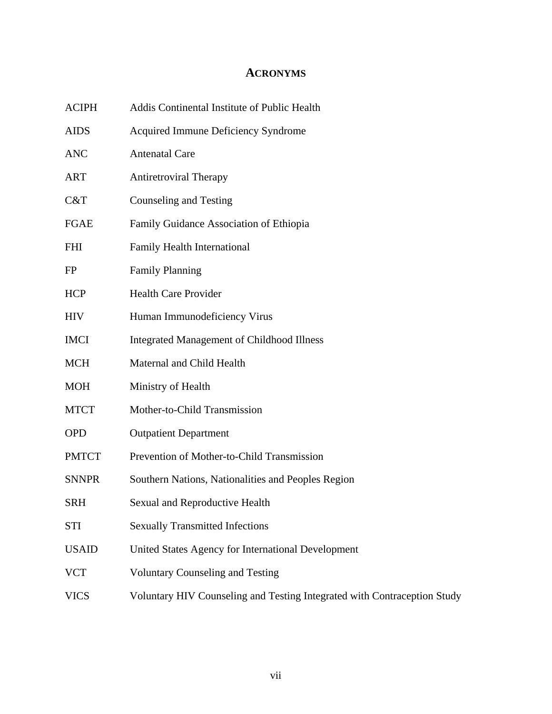## **ACRONYMS**

| <b>ACIPH</b> | Addis Continental Institute of Public Health                             |
|--------------|--------------------------------------------------------------------------|
| <b>AIDS</b>  | <b>Acquired Immune Deficiency Syndrome</b>                               |
| <b>ANC</b>   | <b>Antenatal Care</b>                                                    |
| <b>ART</b>   | <b>Antiretroviral Therapy</b>                                            |
| C&T          | Counseling and Testing                                                   |
| <b>FGAE</b>  | Family Guidance Association of Ethiopia                                  |
| FHI          | Family Health International                                              |
| FP           | <b>Family Planning</b>                                                   |
| <b>HCP</b>   | <b>Health Care Provider</b>                                              |
| <b>HIV</b>   | Human Immunodeficiency Virus                                             |
| <b>IMCI</b>  | <b>Integrated Management of Childhood Illness</b>                        |
| <b>MCH</b>   | Maternal and Child Health                                                |
| <b>MOH</b>   | Ministry of Health                                                       |
| <b>MTCT</b>  | Mother-to-Child Transmission                                             |
| <b>OPD</b>   | <b>Outpatient Department</b>                                             |
| <b>PMTCT</b> | Prevention of Mother-to-Child Transmission                               |
| <b>SNNPR</b> | Southern Nations, Nationalities and Peoples Region                       |
| <b>SRH</b>   | Sexual and Reproductive Health                                           |
| STI          | <b>Sexually Transmitted Infections</b>                                   |
| <b>USAID</b> | United States Agency for International Development                       |
| <b>VCT</b>   | <b>Voluntary Counseling and Testing</b>                                  |
| <b>VICS</b>  | Voluntary HIV Counseling and Testing Integrated with Contraception Study |
|              |                                                                          |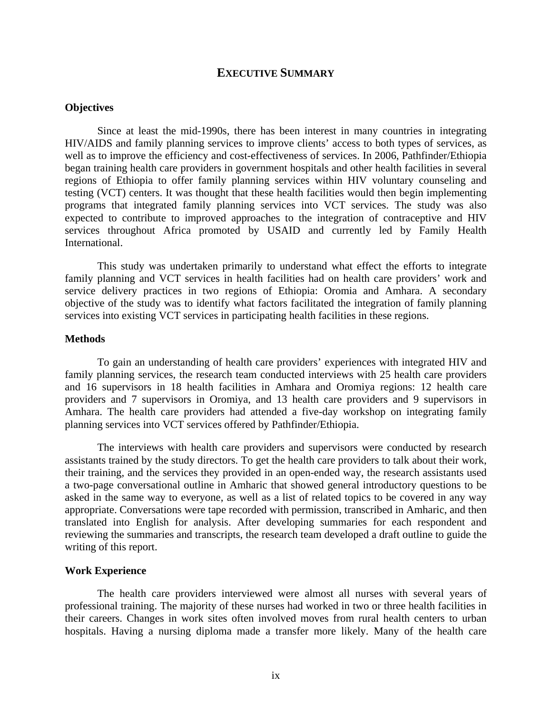#### **EXECUTIVE SUMMARY**

#### **Objectives**

Since at least the mid-1990s, there has been interest in many countries in integrating HIV/AIDS and family planning services to improve clients' access to both types of services, as well as to improve the efficiency and cost-effectiveness of services. In 2006, Pathfinder/Ethiopia began training health care providers in government hospitals and other health facilities in several regions of Ethiopia to offer family planning services within HIV voluntary counseling and testing (VCT) centers. It was thought that these health facilities would then begin implementing programs that integrated family planning services into VCT services. The study was also expected to contribute to improved approaches to the integration of contraceptive and HIV services throughout Africa promoted by USAID and currently led by Family Health International.

This study was undertaken primarily to understand what effect the efforts to integrate family planning and VCT services in health facilities had on health care providers' work and service delivery practices in two regions of Ethiopia: Oromia and Amhara. A secondary objective of the study was to identify what factors facilitated the integration of family planning services into existing VCT services in participating health facilities in these regions.

#### **Methods**

To gain an understanding of health care providers' experiences with integrated HIV and family planning services, the research team conducted interviews with 25 health care providers and 16 supervisors in 18 health facilities in Amhara and Oromiya regions: 12 health care providers and 7 supervisors in Oromiya, and 13 health care providers and 9 supervisors in Amhara. The health care providers had attended a five-day workshop on integrating family planning services into VCT services offered by Pathfinder/Ethiopia.

The interviews with health care providers and supervisors were conducted by research assistants trained by the study directors. To get the health care providers to talk about their work, their training, and the services they provided in an open-ended way, the research assistants used a two-page conversational outline in Amharic that showed general introductory questions to be asked in the same way to everyone, as well as a list of related topics to be covered in any way appropriate. Conversations were tape recorded with permission, transcribed in Amharic, and then translated into English for analysis. After developing summaries for each respondent and reviewing the summaries and transcripts, the research team developed a draft outline to guide the writing of this report.

#### **Work Experience**

The health care providers interviewed were almost all nurses with several years of professional training. The majority of these nurses had worked in two or three health facilities in their careers. Changes in work sites often involved moves from rural health centers to urban hospitals. Having a nursing diploma made a transfer more likely. Many of the health care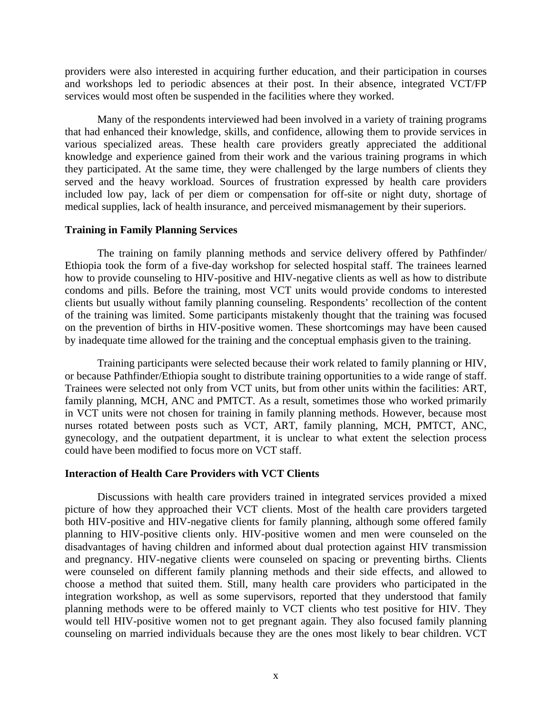providers were also interested in acquiring further education, and their participation in courses and workshops led to periodic absences at their post. In their absence, integrated VCT/FP services would most often be suspended in the facilities where they worked.

Many of the respondents interviewed had been involved in a variety of training programs that had enhanced their knowledge, skills, and confidence, allowing them to provide services in various specialized areas. These health care providers greatly appreciated the additional knowledge and experience gained from their work and the various training programs in which they participated. At the same time, they were challenged by the large numbers of clients they served and the heavy workload. Sources of frustration expressed by health care providers included low pay, lack of per diem or compensation for off-site or night duty, shortage of medical supplies, lack of health insurance, and perceived mismanagement by their superiors.

#### **Training in Family Planning Services**

The training on family planning methods and service delivery offered by Pathfinder/ Ethiopia took the form of a five-day workshop for selected hospital staff. The trainees learned how to provide counseling to HIV-positive and HIV-negative clients as well as how to distribute condoms and pills. Before the training, most VCT units would provide condoms to interested clients but usually without family planning counseling. Respondents' recollection of the content of the training was limited. Some participants mistakenly thought that the training was focused on the prevention of births in HIV-positive women. These shortcomings may have been caused by inadequate time allowed for the training and the conceptual emphasis given to the training.

Training participants were selected because their work related to family planning or HIV, or because Pathfinder/Ethiopia sought to distribute training opportunities to a wide range of staff. Trainees were selected not only from VCT units, but from other units within the facilities: ART, family planning, MCH, ANC and PMTCT. As a result, sometimes those who worked primarily in VCT units were not chosen for training in family planning methods. However, because most nurses rotated between posts such as VCT, ART, family planning, MCH, PMTCT, ANC, gynecology, and the outpatient department, it is unclear to what extent the selection process could have been modified to focus more on VCT staff.

#### **Interaction of Health Care Providers with VCT Clients**

Discussions with health care providers trained in integrated services provided a mixed picture of how they approached their VCT clients. Most of the health care providers targeted both HIV-positive and HIV-negative clients for family planning, although some offered family planning to HIV-positive clients only. HIV-positive women and men were counseled on the disadvantages of having children and informed about dual protection against HIV transmission and pregnancy. HIV-negative clients were counseled on spacing or preventing births. Clients were counseled on different family planning methods and their side effects, and allowed to choose a method that suited them. Still, many health care providers who participated in the integration workshop, as well as some supervisors, reported that they understood that family planning methods were to be offered mainly to VCT clients who test positive for HIV. They would tell HIV-positive women not to get pregnant again. They also focused family planning counseling on married individuals because they are the ones most likely to bear children. VCT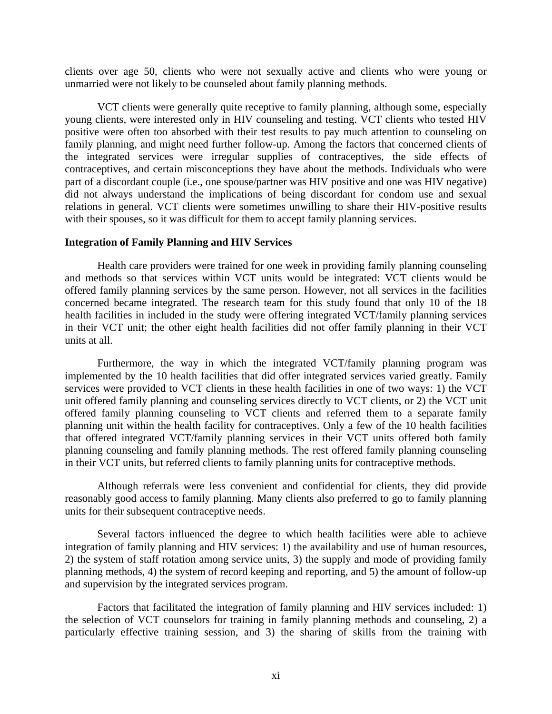clients over age 50, clients who were not sexually active and clients who were young or unmarried were not likely to be counseled about family planning methods.

VCT clients were generally quite receptive to family planning, although some, especially young clients, were interested only in HIV counseling and testing. VCT clients who tested HIV positive were often too absorbed with their test results to pay much attention to counseling on family planning, and might need further follow-up. Among the factors that concerned clients of the integrated services were irregular supplies of contraceptives, the side effects of contraceptives, and certain misconceptions they have about the methods. Individuals who were part of a discordant couple (i.e., one spouse/partner was HIV positive and one was HIV negative) did not always understand the implications of being discordant for condom use and sexual relations in general. VCT clients were sometimes unwilling to share their HIV-positive results with their spouses, so it was difficult for them to accept family planning services.

#### **Integration of Family Planning and HIV Services**

Health care providers were trained for one week in providing family planning counseling and methods so that services within VCT units would be integrated: VCT clients would be offered family planning services by the same person. However, not all services in the facilities concerned became integrated. The research team for this study found that only 10 of the 18 health facilities in included in the study were offering integrated VCT/family planning services in their VCT unit; the other eight health facilities did not offer family planning in their VCT units at all.

Furthermore, the way in which the integrated VCT/family planning program was implemented by the 10 health facilities that did offer integrated services varied greatly. Family services were provided to VCT clients in these health facilities in one of two ways: 1) the VCT unit offered family planning and counseling services directly to VCT clients, or 2) the VCT unit offered family planning counseling to VCT clients and referred them to a separate family planning unit within the health facility for contraceptives. Only a few of the 10 health facilities that offered integrated VCT/family planning services in their VCT units offered both family planning counseling and family planning methods. The rest offered family planning counseling in their VCT units, but referred clients to family planning units for contraceptive methods.

Although referrals were less convenient and confidential for clients, they did provide reasonably good access to family planning. Many clients also preferred to go to family planning units for their subsequent contraceptive needs.

Several factors influenced the degree to which health facilities were able to achieve integration of family planning and HIV services: 1) the availability and use of human resources, 2) the system of staff rotation among service units, 3) the supply and mode of providing family planning methods, 4) the system of record keeping and reporting, and 5) the amount of follow-up and supervision by the integrated services program.

Factors that facilitated the integration of family planning and HIV services included: 1) the selection of VCT counselors for training in family planning methods and counseling, 2) a particularly effective training session, and 3) the sharing of skills from the training with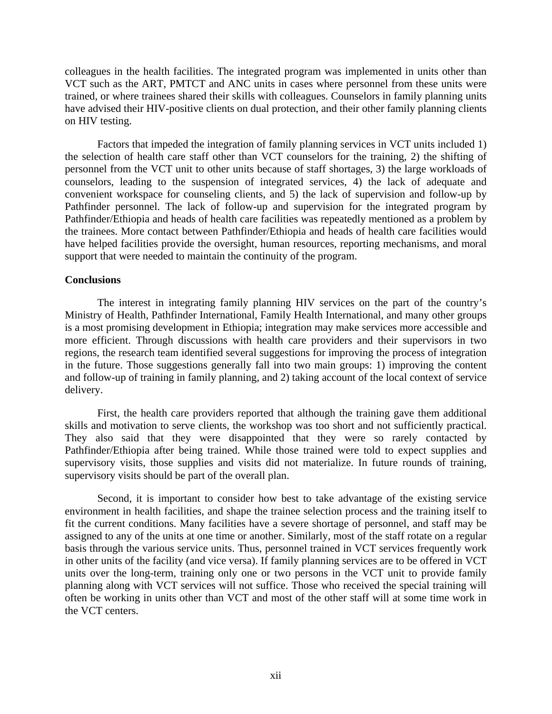colleagues in the health facilities. The integrated program was implemented in units other than VCT such as the ART, PMTCT and ANC units in cases where personnel from these units were trained, or where trainees shared their skills with colleagues. Counselors in family planning units have advised their HIV-positive clients on dual protection, and their other family planning clients on HIV testing.

Factors that impeded the integration of family planning services in VCT units included 1) the selection of health care staff other than VCT counselors for the training, 2) the shifting of personnel from the VCT unit to other units because of staff shortages, 3) the large workloads of counselors, leading to the suspension of integrated services, 4) the lack of adequate and convenient workspace for counseling clients, and 5) the lack of supervision and follow-up by Pathfinder personnel. The lack of follow-up and supervision for the integrated program by Pathfinder/Ethiopia and heads of health care facilities was repeatedly mentioned as a problem by the trainees. More contact between Pathfinder/Ethiopia and heads of health care facilities would have helped facilities provide the oversight, human resources, reporting mechanisms, and moral support that were needed to maintain the continuity of the program.

#### **Conclusions**

The interest in integrating family planning HIV services on the part of the country's Ministry of Health, Pathfinder International, Family Health International, and many other groups is a most promising development in Ethiopia; integration may make services more accessible and more efficient. Through discussions with health care providers and their supervisors in two regions, the research team identified several suggestions for improving the process of integration in the future. Those suggestions generally fall into two main groups: 1) improving the content and follow-up of training in family planning, and 2) taking account of the local context of service delivery.

First, the health care providers reported that although the training gave them additional skills and motivation to serve clients, the workshop was too short and not sufficiently practical. They also said that they were disappointed that they were so rarely contacted by Pathfinder/Ethiopia after being trained. While those trained were told to expect supplies and supervisory visits, those supplies and visits did not materialize. In future rounds of training, supervisory visits should be part of the overall plan.

Second, it is important to consider how best to take advantage of the existing service environment in health facilities, and shape the trainee selection process and the training itself to fit the current conditions. Many facilities have a severe shortage of personnel, and staff may be assigned to any of the units at one time or another. Similarly, most of the staff rotate on a regular basis through the various service units. Thus, personnel trained in VCT services frequently work in other units of the facility (and vice versa). If family planning services are to be offered in VCT units over the long-term, training only one or two persons in the VCT unit to provide family planning along with VCT services will not suffice. Those who received the special training will often be working in units other than VCT and most of the other staff will at some time work in the VCT centers.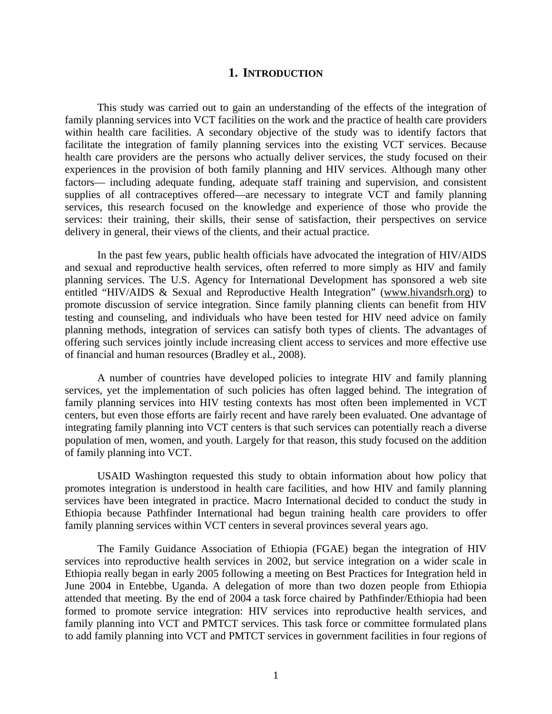#### **1. INTRODUCTION**

This study was carried out to gain an understanding of the effects of the integration of family planning services into VCT facilities on the work and the practice of health care providers within health care facilities. A secondary objective of the study was to identify factors that facilitate the integration of family planning services into the existing VCT services. Because health care providers are the persons who actually deliver services, the study focused on their experiences in the provision of both family planning and HIV services. Although many other factors— including adequate funding, adequate staff training and supervision, and consistent supplies of all contraceptives offered—are necessary to integrate VCT and family planning services, this research focused on the knowledge and experience of those who provide the services: their training, their skills, their sense of satisfaction, their perspectives on service delivery in general, their views of the clients, and their actual practice.

In the past few years, public health officials have advocated the integration of HIV/AIDS and sexual and reproductive health services, often referred to more simply as HIV and family planning services. The U.S. Agency for International Development has sponsored a web site entitled "HIV/AIDS & Sexual and Reproductive Health Integration" (www.hivandsrh.org) to promote discussion of service integration. Since family planning clients can benefit from HIV testing and counseling, and individuals who have been tested for HIV need advice on family planning methods, integration of services can satisfy both types of clients. The advantages of offering such services jointly include increasing client access to services and more effective use of financial and human resources (Bradley et al., 2008).

A number of countries have developed policies to integrate HIV and family planning services, yet the implementation of such policies has often lagged behind. The integration of family planning services into HIV testing contexts has most often been implemented in VCT centers, but even those efforts are fairly recent and have rarely been evaluated. One advantage of integrating family planning into VCT centers is that such services can potentially reach a diverse population of men, women, and youth. Largely for that reason, this study focused on the addition of family planning into VCT.

USAID Washington requested this study to obtain information about how policy that promotes integration is understood in health care facilities, and how HIV and family planning services have been integrated in practice. Macro International decided to conduct the study in Ethiopia because Pathfinder International had begun training health care providers to offer family planning services within VCT centers in several provinces several years ago.

The Family Guidance Association of Ethiopia (FGAE) began the integration of HIV services into reproductive health services in 2002, but service integration on a wider scale in Ethiopia really began in early 2005 following a meeting on Best Practices for Integration held in June 2004 in Entebbe, Uganda. A delegation of more than two dozen people from Ethiopia attended that meeting. By the end of 2004 a task force chaired by Pathfinder/Ethiopia had been formed to promote service integration: HIV services into reproductive health services, and family planning into VCT and PMTCT services. This task force or committee formulated plans to add family planning into VCT and PMTCT services in government facilities in four regions of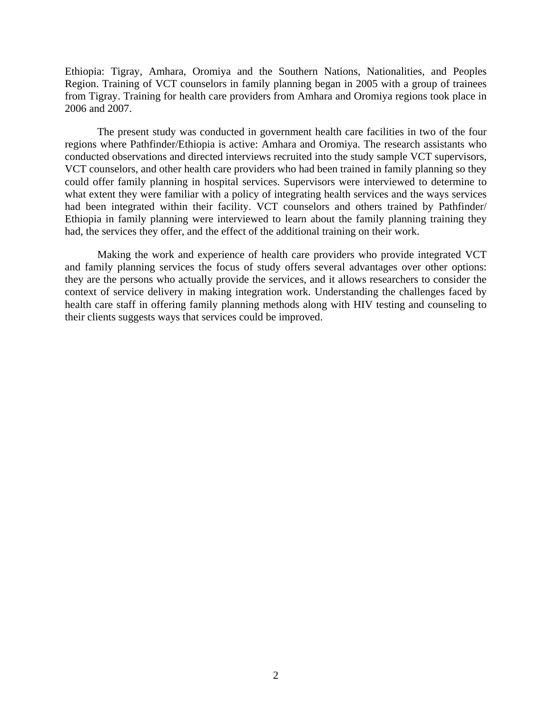Ethiopia: Tigray, Amhara, Oromiya and the Southern Nations, Nationalities, and Peoples Region. Training of VCT counselors in family planning began in 2005 with a group of trainees from Tigray. Training for health care providers from Amhara and Oromiya regions took place in 2006 and 2007.

The present study was conducted in government health care facilities in two of the four regions where Pathfinder/Ethiopia is active: Amhara and Oromiya. The research assistants who conducted observations and directed interviews recruited into the study sample VCT supervisors, VCT counselors, and other health care providers who had been trained in family planning so they could offer family planning in hospital services. Supervisors were interviewed to determine to what extent they were familiar with a policy of integrating health services and the ways services had been integrated within their facility. VCT counselors and others trained by Pathfinder/ Ethiopia in family planning were interviewed to learn about the family planning training they had, the services they offer, and the effect of the additional training on their work.

Making the work and experience of health care providers who provide integrated VCT and family planning services the focus of study offers several advantages over other options: they are the persons who actually provide the services, and it allows researchers to consider the context of service delivery in making integration work. Understanding the challenges faced by health care staff in offering family planning methods along with HIV testing and counseling to their clients suggests ways that services could be improved.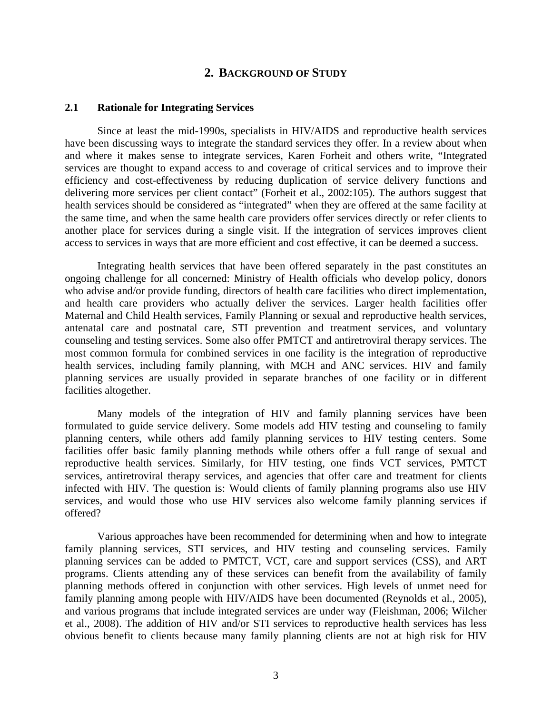#### **2. BACKGROUND OF STUDY**

#### **2.1 Rationale for Integrating Services**

Since at least the mid-1990s, specialists in HIV/AIDS and reproductive health services have been discussing ways to integrate the standard services they offer. In a review about when and where it makes sense to integrate services, Karen Forheit and others write, "Integrated services are thought to expand access to and coverage of critical services and to improve their efficiency and cost-effectiveness by reducing duplication of service delivery functions and delivering more services per client contact" (Forheit et al., 2002:105). The authors suggest that health services should be considered as "integrated" when they are offered at the same facility at the same time, and when the same health care providers offer services directly or refer clients to another place for services during a single visit. If the integration of services improves client access to services in ways that are more efficient and cost effective, it can be deemed a success.

Integrating health services that have been offered separately in the past constitutes an ongoing challenge for all concerned: Ministry of Health officials who develop policy, donors who advise and/or provide funding, directors of health care facilities who direct implementation, and health care providers who actually deliver the services. Larger health facilities offer Maternal and Child Health services, Family Planning or sexual and reproductive health services, antenatal care and postnatal care, STI prevention and treatment services, and voluntary counseling and testing services. Some also offer PMTCT and antiretroviral therapy services. The most common formula for combined services in one facility is the integration of reproductive health services, including family planning, with MCH and ANC services. HIV and family planning services are usually provided in separate branches of one facility or in different facilities altogether.

Many models of the integration of HIV and family planning services have been formulated to guide service delivery. Some models add HIV testing and counseling to family planning centers, while others add family planning services to HIV testing centers. Some facilities offer basic family planning methods while others offer a full range of sexual and reproductive health services. Similarly, for HIV testing, one finds VCT services, PMTCT services, antiretroviral therapy services, and agencies that offer care and treatment for clients infected with HIV. The question is: Would clients of family planning programs also use HIV services, and would those who use HIV services also welcome family planning services if offered?

Various approaches have been recommended for determining when and how to integrate family planning services, STI services, and HIV testing and counseling services. Family planning services can be added to PMTCT, VCT, care and support services (CSS), and ART programs. Clients attending any of these services can benefit from the availability of family planning methods offered in conjunction with other services. High levels of unmet need for family planning among people with HIV/AIDS have been documented (Reynolds et al., 2005), and various programs that include integrated services are under way (Fleishman, 2006; Wilcher et al., 2008). The addition of HIV and/or STI services to reproductive health services has less obvious benefit to clients because many family planning clients are not at high risk for HIV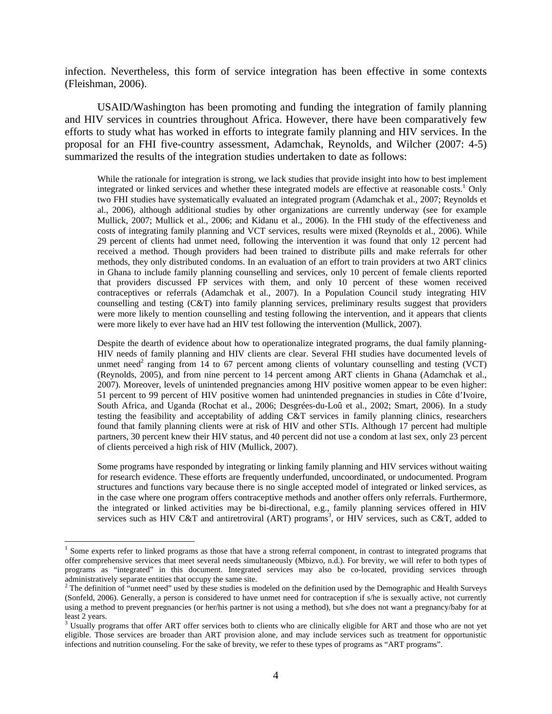infection. Nevertheless, this form of service integration has been effective in some contexts (Fleishman, 2006).

USAID/Washington has been promoting and funding the integration of family planning and HIV services in countries throughout Africa. However, there have been comparatively few efforts to study what has worked in efforts to integrate family planning and HIV services. In the proposal for an FHI five-country assessment, Adamchak, Reynolds, and Wilcher (2007: 4-5) summarized the results of the integration studies undertaken to date as follows:

While the rationale for integration is strong, we lack studies that provide insight into how to best implement integrated or linked services and whether these integrated models are effective at reasonable costs.<sup>1</sup> Only two FHI studies have systematically evaluated an integrated program (Adamchak et al., 2007; Reynolds et al., 2006), although additional studies by other organizations are currently underway (see for example Mullick, 2007; Mullick et al., 2006; and Kidanu et al., 2006). In the FHI study of the effectiveness and costs of integrating family planning and VCT services, results were mixed (Reynolds et al., 2006). While 29 percent of clients had unmet need, following the intervention it was found that only 12 percent had received a method. Though providers had been trained to distribute pills and make referrals for other methods, they only distributed condoms. In an evaluation of an effort to train providers at two ART clinics in Ghana to include family planning counselling and services, only 10 percent of female clients reported that providers discussed FP services with them, and only 10 percent of these women received contraceptives or referrals (Adamchak et al., 2007). In a Population Council study integrating HIV counselling and testing (C&T) into family planning services, preliminary results suggest that providers were more likely to mention counselling and testing following the intervention, and it appears that clients were more likely to ever have had an HIV test following the intervention (Mullick, 2007).

Despite the dearth of evidence about how to operationalize integrated programs, the dual family planning-HIV needs of family planning and HIV clients are clear. Several FHI studies have documented levels of unmet need<sup>2</sup> ranging from 14 to 67 percent among clients of voluntary counselling and testing (VCT) (Reynolds, 2005), and from nine percent to 14 percent among ART clients in Ghana (Adamchak et al., 2007). Moreover, levels of unintended pregnancies among HIV positive women appear to be even higher: 51 percent to 99 percent of HIV positive women had unintended pregnancies in studies in Côte d'Ivoire, South Africa, and Uganda (Rochat et al., 2006; Desgrées-du-Loû et al., 2002; Smart, 2006). In a study testing the feasibility and acceptability of adding C&T services in family planning clinics, researchers found that family planning clients were at risk of HIV and other STIs. Although 17 percent had multiple partners, 30 percent knew their HIV status, and 40 percent did not use a condom at last sex, only 23 percent of clients perceived a high risk of HIV (Mullick, 2007).

Some programs have responded by integrating or linking family planning and HIV services without waiting for research evidence. These efforts are frequently underfunded, uncoordinated, or undocumented. Program structures and functions vary because there is no single accepted model of integrated or linked services, as in the case where one program offers contraceptive methods and another offers only referrals. Furthermore, the integrated or linked activities may be bi-directional, e.g., family planning services offered in HIV services such as HIV C&T and antiretroviral (ART) programs<sup>3</sup>, or HIV services, such as C&T, added to

 $\overline{a}$ 

<sup>&</sup>lt;sup>1</sup> Some experts refer to linked programs as those that have a strong referral component, in contrast to integrated programs that offer comprehensive services that meet several needs simultaneously (Mbizvo, n.d.). For brevity, we will refer to both types of programs as "integrated" in this document. Integrated services may also be co-located, providing services through administratively separate entities that occupy the same site.

<sup>&</sup>lt;sup>2</sup> The definition of "unmet need" used by these studies is modeled on the definition used by the Demographic and Health Surveys (Sonfeld, 2006). Generally, a person is considered to have unmet need for contraception if s/he is sexually active, not currently using a method to prevent pregnancies (or her/his partner is not using a method), but s/he does not want a pregnancy/baby for at least 2 years.

<sup>&</sup>lt;sup>3</sup> Usually programs that offer ART offer services both to clients who are clinically eligible for ART and those who are not yet eligible. Those services are broader than ART provision alone, and may include services such as treatment for opportunistic infections and nutrition counseling. For the sake of brevity, we refer to these types of programs as "ART programs".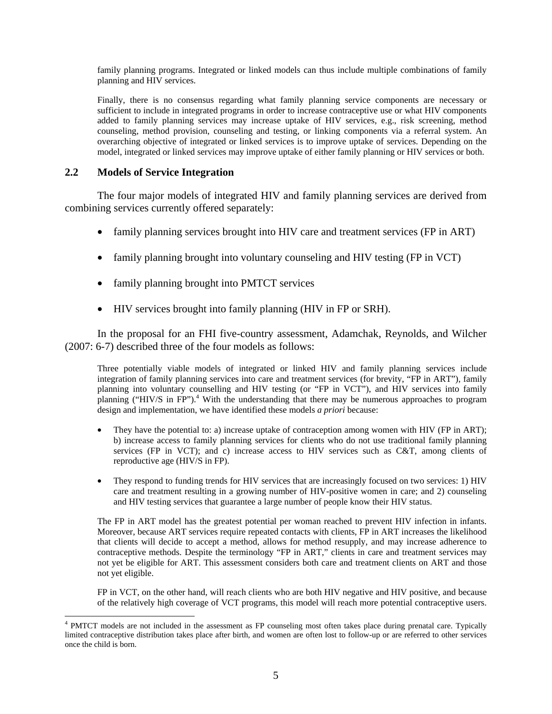family planning programs. Integrated or linked models can thus include multiple combinations of family planning and HIV services.

Finally, there is no consensus regarding what family planning service components are necessary or sufficient to include in integrated programs in order to increase contraceptive use or what HIV components added to family planning services may increase uptake of HIV services, e.g., risk screening, method counseling, method provision, counseling and testing, or linking components via a referral system. An overarching objective of integrated or linked services is to improve uptake of services. Depending on the model, integrated or linked services may improve uptake of either family planning or HIV services or both.

#### **2.2 Models of Service Integration**

 $\overline{a}$ 

The four major models of integrated HIV and family planning services are derived from combining services currently offered separately:

- family planning services brought into HIV care and treatment services (FP in ART)
- family planning brought into voluntary counseling and HIV testing (FP in VCT)
- family planning brought into PMTCT services
- HIV services brought into family planning (HIV in FP or SRH).

In the proposal for an FHI five-country assessment, Adamchak, Reynolds, and Wilcher (2007: 6-7) described three of the four models as follows:

Three potentially viable models of integrated or linked HIV and family planning services include integration of family planning services into care and treatment services (for brevity, "FP in ART"), family planning into voluntary counselling and HIV testing (or "FP in VCT"), and HIV services into family planning ("HIV/S in FP").<sup>4</sup> With the understanding that there may be numerous approaches to program design and implementation, we have identified these models *a priori* because:

- They have the potential to: a) increase uptake of contraception among women with HIV (FP in ART); b) increase access to family planning services for clients who do not use traditional family planning services (FP in VCT); and c) increase access to HIV services such as C&T, among clients of reproductive age (HIV/S in FP).
- They respond to funding trends for HIV services that are increasingly focused on two services: 1) HIV care and treatment resulting in a growing number of HIV-positive women in care; and 2) counseling and HIV testing services that guarantee a large number of people know their HIV status.

The FP in ART model has the greatest potential per woman reached to prevent HIV infection in infants. Moreover, because ART services require repeated contacts with clients, FP in ART increases the likelihood that clients will decide to accept a method, allows for method resupply, and may increase adherence to contraceptive methods. Despite the terminology "FP in ART," clients in care and treatment services may not yet be eligible for ART. This assessment considers both care and treatment clients on ART and those not yet eligible.

FP in VCT, on the other hand, will reach clients who are both HIV negative and HIV positive, and because of the relatively high coverage of VCT programs, this model will reach more potential contraceptive users.

<sup>&</sup>lt;sup>4</sup> PMTCT models are not included in the assessment as FP counseling most often takes place during prenatal care. Typically limited contraceptive distribution takes place after birth, and women are often lost to follow-up or are referred to other services once the child is born.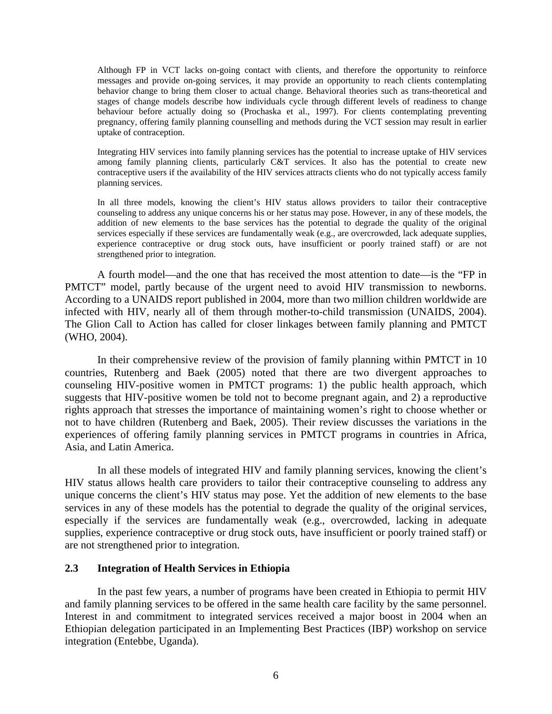Although FP in VCT lacks on-going contact with clients, and therefore the opportunity to reinforce messages and provide on-going services, it may provide an opportunity to reach clients contemplating behavior change to bring them closer to actual change. Behavioral theories such as trans-theoretical and stages of change models describe how individuals cycle through different levels of readiness to change behaviour before actually doing so (Prochaska et al., 1997). For clients contemplating preventing pregnancy, offering family planning counselling and methods during the VCT session may result in earlier uptake of contraception.

Integrating HIV services into family planning services has the potential to increase uptake of HIV services among family planning clients, particularly C&T services. It also has the potential to create new contraceptive users if the availability of the HIV services attracts clients who do not typically access family planning services.

In all three models, knowing the client's HIV status allows providers to tailor their contraceptive counseling to address any unique concerns his or her status may pose. However, in any of these models, the addition of new elements to the base services has the potential to degrade the quality of the original services especially if these services are fundamentally weak (e.g., are overcrowded, lack adequate supplies, experience contraceptive or drug stock outs, have insufficient or poorly trained staff) or are not strengthened prior to integration.

A fourth model—and the one that has received the most attention to date—is the "FP in PMTCT" model, partly because of the urgent need to avoid HIV transmission to newborns. According to a UNAIDS report published in 2004, more than two million children worldwide are infected with HIV, nearly all of them through mother-to-child transmission (UNAIDS, 2004). The Glion Call to Action has called for closer linkages between family planning and PMTCT (WHO, 2004).

In their comprehensive review of the provision of family planning within PMTCT in 10 countries, Rutenberg and Baek (2005) noted that there are two divergent approaches to counseling HIV-positive women in PMTCT programs: 1) the public health approach, which suggests that HIV-positive women be told not to become pregnant again, and 2) a reproductive rights approach that stresses the importance of maintaining women's right to choose whether or not to have children (Rutenberg and Baek, 2005). Their review discusses the variations in the experiences of offering family planning services in PMTCT programs in countries in Africa, Asia, and Latin America.

In all these models of integrated HIV and family planning services, knowing the client's HIV status allows health care providers to tailor their contraceptive counseling to address any unique concerns the client's HIV status may pose. Yet the addition of new elements to the base services in any of these models has the potential to degrade the quality of the original services, especially if the services are fundamentally weak (e.g., overcrowded, lacking in adequate supplies, experience contraceptive or drug stock outs, have insufficient or poorly trained staff) or are not strengthened prior to integration.

#### **2.3 Integration of Health Services in Ethiopia**

In the past few years, a number of programs have been created in Ethiopia to permit HIV and family planning services to be offered in the same health care facility by the same personnel. Interest in and commitment to integrated services received a major boost in 2004 when an Ethiopian delegation participated in an Implementing Best Practices (IBP) workshop on service integration (Entebbe, Uganda).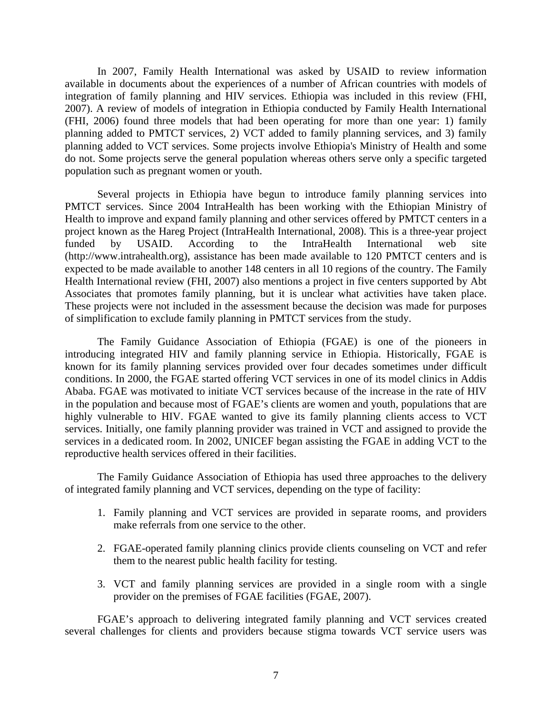In 2007, Family Health International was asked by USAID to review information available in documents about the experiences of a number of African countries with models of integration of family planning and HIV services. Ethiopia was included in this review (FHI, 2007). A review of models of integration in Ethiopia conducted by Family Health International (FHI, 2006) found three models that had been operating for more than one year: 1) family planning added to PMTCT services, 2) VCT added to family planning services, and 3) family planning added to VCT services. Some projects involve Ethiopia's Ministry of Health and some do not. Some projects serve the general population whereas others serve only a specific targeted population such as pregnant women or youth.

Several projects in Ethiopia have begun to introduce family planning services into PMTCT services. Since 2004 IntraHealth has been working with the Ethiopian Ministry of Health to improve and expand family planning and other services offered by PMTCT centers in a project known as the Hareg Project (IntraHealth International, 2008). This is a three-year project funded by USAID. According to the IntraHealth International web site (http://www.intrahealth.org), assistance has been made available to 120 PMTCT centers and is expected to be made available to another 148 centers in all 10 regions of the country. The Family Health International review (FHI, 2007) also mentions a project in five centers supported by Abt Associates that promotes family planning, but it is unclear what activities have taken place. These projects were not included in the assessment because the decision was made for purposes of simplification to exclude family planning in PMTCT services from the study.

The Family Guidance Association of Ethiopia (FGAE) is one of the pioneers in introducing integrated HIV and family planning service in Ethiopia. Historically, FGAE is known for its family planning services provided over four decades sometimes under difficult conditions. In 2000, the FGAE started offering VCT services in one of its model clinics in Addis Ababa. FGAE was motivated to initiate VCT services because of the increase in the rate of HIV in the population and because most of FGAE's clients are women and youth, populations that are highly vulnerable to HIV. FGAE wanted to give its family planning clients access to VCT services. Initially, one family planning provider was trained in VCT and assigned to provide the services in a dedicated room. In 2002, UNICEF began assisting the FGAE in adding VCT to the reproductive health services offered in their facilities.

The Family Guidance Association of Ethiopia has used three approaches to the delivery of integrated family planning and VCT services, depending on the type of facility:

- 1. Family planning and VCT services are provided in separate rooms, and providers make referrals from one service to the other.
- 2. FGAE-operated family planning clinics provide clients counseling on VCT and refer them to the nearest public health facility for testing.
- 3. VCT and family planning services are provided in a single room with a single provider on the premises of FGAE facilities (FGAE, 2007).

FGAE's approach to delivering integrated family planning and VCT services created several challenges for clients and providers because stigma towards VCT service users was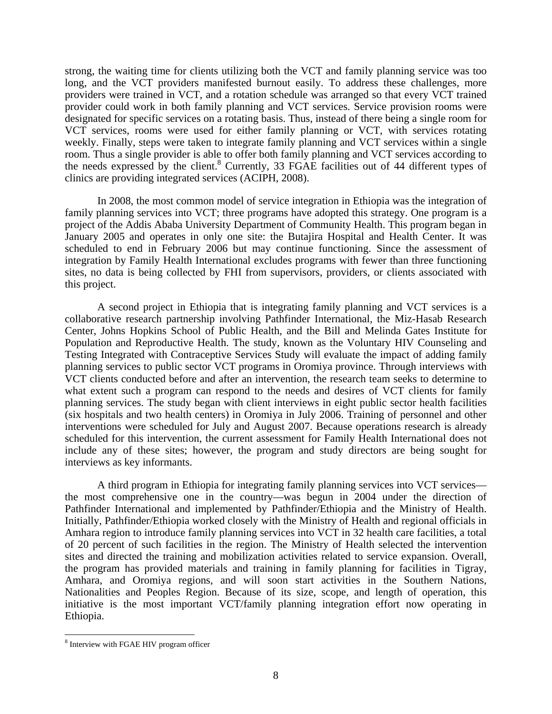strong, the waiting time for clients utilizing both the VCT and family planning service was too long, and the VCT providers manifested burnout easily. To address these challenges, more providers were trained in VCT, and a rotation schedule was arranged so that every VCT trained provider could work in both family planning and VCT services. Service provision rooms were designated for specific services on a rotating basis. Thus, instead of there being a single room for VCT services, rooms were used for either family planning or VCT, with services rotating weekly. Finally, steps were taken to integrate family planning and VCT services within a single room. Thus a single provider is able to offer both family planning and VCT services according to the needs expressed by the client.<sup>8</sup> Currently, 33 FGAE facilities out of 44 different types of clinics are providing integrated services (ACIPH, 2008).

In 2008, the most common model of service integration in Ethiopia was the integration of family planning services into VCT; three programs have adopted this strategy. One program is a project of the Addis Ababa University Department of Community Health. This program began in January 2005 and operates in only one site: the Butajira Hospital and Health Center. It was scheduled to end in February 2006 but may continue functioning. Since the assessment of integration by Family Health International excludes programs with fewer than three functioning sites, no data is being collected by FHI from supervisors, providers, or clients associated with this project.

A second project in Ethiopia that is integrating family planning and VCT services is a collaborative research partnership involving Pathfinder International, the Miz-Hasab Research Center, Johns Hopkins School of Public Health, and the Bill and Melinda Gates Institute for Population and Reproductive Health. The study, known as the Voluntary HIV Counseling and Testing Integrated with Contraceptive Services Study will evaluate the impact of adding family planning services to public sector VCT programs in Oromiya province. Through interviews with VCT clients conducted before and after an intervention, the research team seeks to determine to what extent such a program can respond to the needs and desires of VCT clients for family planning services. The study began with client interviews in eight public sector health facilities (six hospitals and two health centers) in Oromiya in July 2006. Training of personnel and other interventions were scheduled for July and August 2007. Because operations research is already scheduled for this intervention, the current assessment for Family Health International does not include any of these sites; however, the program and study directors are being sought for interviews as key informants.

A third program in Ethiopia for integrating family planning services into VCT services the most comprehensive one in the country—was begun in 2004 under the direction of Pathfinder International and implemented by Pathfinder/Ethiopia and the Ministry of Health. Initially, Pathfinder/Ethiopia worked closely with the Ministry of Health and regional officials in Amhara region to introduce family planning services into VCT in 32 health care facilities, a total of 20 percent of such facilities in the region. The Ministry of Health selected the intervention sites and directed the training and mobilization activities related to service expansion. Overall, the program has provided materials and training in family planning for facilities in Tigray, Amhara, and Oromiya regions, and will soon start activities in the Southern Nations, Nationalities and Peoples Region. Because of its size, scope, and length of operation, this initiative is the most important VCT/family planning integration effort now operating in Ethiopia.

 $\overline{a}$ <sup>8</sup> Interview with FGAE HIV program officer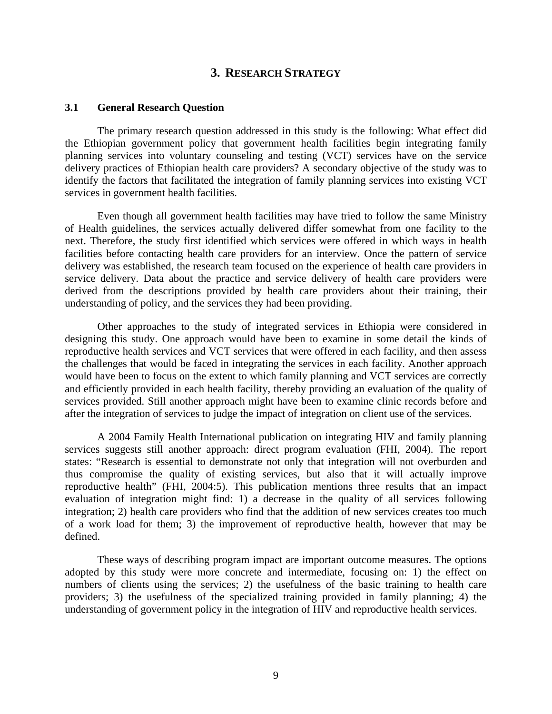#### **3. RESEARCH STRATEGY**

#### **3.1 General Research Question**

The primary research question addressed in this study is the following: What effect did the Ethiopian government policy that government health facilities begin integrating family planning services into voluntary counseling and testing (VCT) services have on the service delivery practices of Ethiopian health care providers? A secondary objective of the study was to identify the factors that facilitated the integration of family planning services into existing VCT services in government health facilities.

Even though all government health facilities may have tried to follow the same Ministry of Health guidelines, the services actually delivered differ somewhat from one facility to the next. Therefore, the study first identified which services were offered in which ways in health facilities before contacting health care providers for an interview. Once the pattern of service delivery was established, the research team focused on the experience of health care providers in service delivery. Data about the practice and service delivery of health care providers were derived from the descriptions provided by health care providers about their training, their understanding of policy, and the services they had been providing.

Other approaches to the study of integrated services in Ethiopia were considered in designing this study. One approach would have been to examine in some detail the kinds of reproductive health services and VCT services that were offered in each facility, and then assess the challenges that would be faced in integrating the services in each facility. Another approach would have been to focus on the extent to which family planning and VCT services are correctly and efficiently provided in each health facility, thereby providing an evaluation of the quality of services provided. Still another approach might have been to examine clinic records before and after the integration of services to judge the impact of integration on client use of the services.

A 2004 Family Health International publication on integrating HIV and family planning services suggests still another approach: direct program evaluation (FHI, 2004). The report states: "Research is essential to demonstrate not only that integration will not overburden and thus compromise the quality of existing services, but also that it will actually improve reproductive health" (FHI, 2004:5). This publication mentions three results that an impact evaluation of integration might find: 1) a decrease in the quality of all services following integration; 2) health care providers who find that the addition of new services creates too much of a work load for them; 3) the improvement of reproductive health, however that may be defined.

These ways of describing program impact are important outcome measures. The options adopted by this study were more concrete and intermediate, focusing on: 1) the effect on numbers of clients using the services; 2) the usefulness of the basic training to health care providers; 3) the usefulness of the specialized training provided in family planning; 4) the understanding of government policy in the integration of HIV and reproductive health services.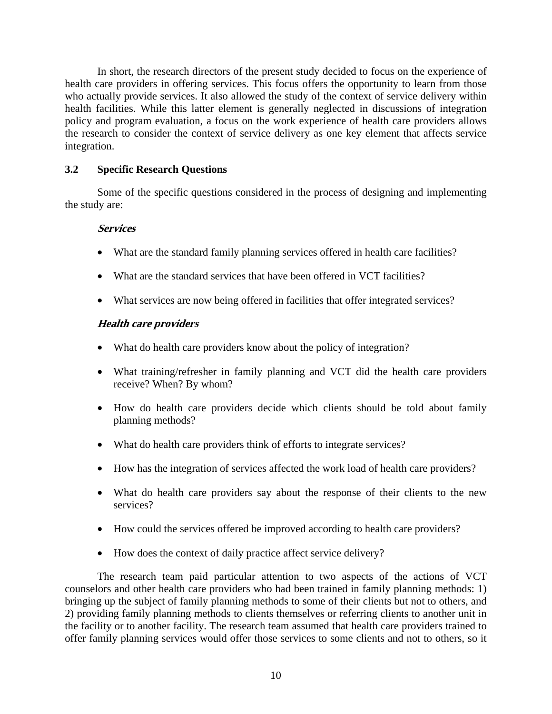In short, the research directors of the present study decided to focus on the experience of health care providers in offering services. This focus offers the opportunity to learn from those who actually provide services. It also allowed the study of the context of service delivery within health facilities. While this latter element is generally neglected in discussions of integration policy and program evaluation, a focus on the work experience of health care providers allows the research to consider the context of service delivery as one key element that affects service integration.

#### **3.2 Specific Research Questions**

Some of the specific questions considered in the process of designing and implementing the study are:

#### **Services**

- What are the standard family planning services offered in health care facilities?
- What are the standard services that have been offered in VCT facilities?
- What services are now being offered in facilities that offer integrated services?

#### **Health care providers**

- What do health care providers know about the policy of integration?
- What training/refresher in family planning and VCT did the health care providers receive? When? By whom?
- How do health care providers decide which clients should be told about family planning methods?
- What do health care providers think of efforts to integrate services?
- How has the integration of services affected the work load of health care providers?
- What do health care providers say about the response of their clients to the new services?
- How could the services offered be improved according to health care providers?
- How does the context of daily practice affect service delivery?

The research team paid particular attention to two aspects of the actions of VCT counselors and other health care providers who had been trained in family planning methods: 1) bringing up the subject of family planning methods to some of their clients but not to others, and 2) providing family planning methods to clients themselves or referring clients to another unit in the facility or to another facility. The research team assumed that health care providers trained to offer family planning services would offer those services to some clients and not to others, so it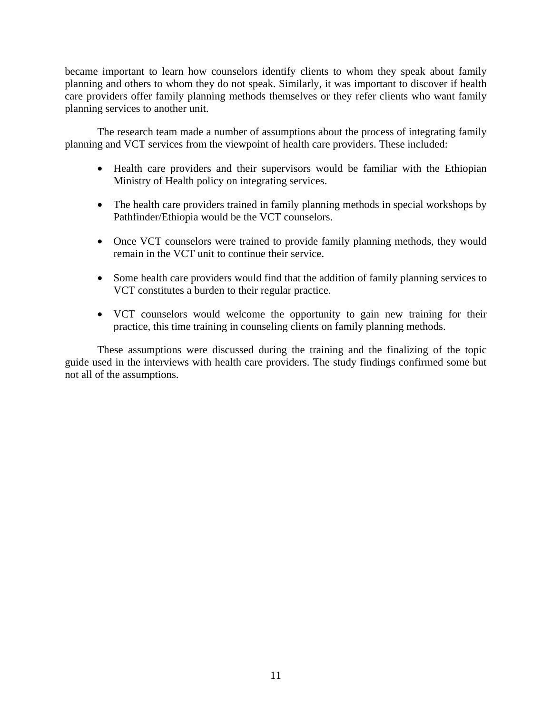became important to learn how counselors identify clients to whom they speak about family planning and others to whom they do not speak. Similarly, it was important to discover if health care providers offer family planning methods themselves or they refer clients who want family planning services to another unit.

The research team made a number of assumptions about the process of integrating family planning and VCT services from the viewpoint of health care providers. These included:

- Health care providers and their supervisors would be familiar with the Ethiopian Ministry of Health policy on integrating services.
- The health care providers trained in family planning methods in special workshops by Pathfinder/Ethiopia would be the VCT counselors.
- Once VCT counselors were trained to provide family planning methods, they would remain in the VCT unit to continue their service.
- Some health care providers would find that the addition of family planning services to VCT constitutes a burden to their regular practice.
- VCT counselors would welcome the opportunity to gain new training for their practice, this time training in counseling clients on family planning methods.

These assumptions were discussed during the training and the finalizing of the topic guide used in the interviews with health care providers. The study findings confirmed some but not all of the assumptions.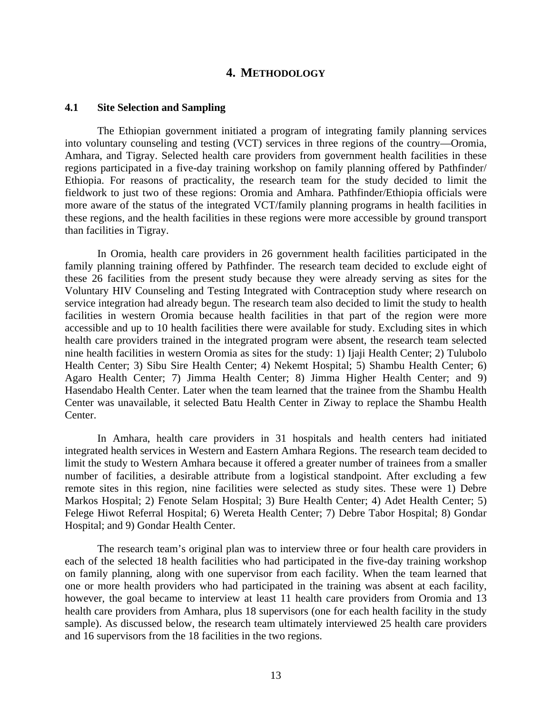#### **4. METHODOLOGY**

#### **4.1 Site Selection and Sampling**

The Ethiopian government initiated a program of integrating family planning services into voluntary counseling and testing (VCT) services in three regions of the country—Oromia, Amhara, and Tigray. Selected health care providers from government health facilities in these regions participated in a five-day training workshop on family planning offered by Pathfinder/ Ethiopia. For reasons of practicality, the research team for the study decided to limit the fieldwork to just two of these regions: Oromia and Amhara. Pathfinder/Ethiopia officials were more aware of the status of the integrated VCT/family planning programs in health facilities in these regions, and the health facilities in these regions were more accessible by ground transport than facilities in Tigray.

In Oromia, health care providers in 26 government health facilities participated in the family planning training offered by Pathfinder. The research team decided to exclude eight of these 26 facilities from the present study because they were already serving as sites for the Voluntary HIV Counseling and Testing Integrated with Contraception study where research on service integration had already begun. The research team also decided to limit the study to health facilities in western Oromia because health facilities in that part of the region were more accessible and up to 10 health facilities there were available for study. Excluding sites in which health care providers trained in the integrated program were absent, the research team selected nine health facilities in western Oromia as sites for the study: 1) Ijaji Health Center; 2) Tulubolo Health Center; 3) Sibu Sire Health Center; 4) Nekemt Hospital; 5) Shambu Health Center; 6) Agaro Health Center; 7) Jimma Health Center; 8) Jimma Higher Health Center; and 9) Hasendabo Health Center. Later when the team learned that the trainee from the Shambu Health Center was unavailable, it selected Batu Health Center in Ziway to replace the Shambu Health Center.

In Amhara, health care providers in 31 hospitals and health centers had initiated integrated health services in Western and Eastern Amhara Regions. The research team decided to limit the study to Western Amhara because it offered a greater number of trainees from a smaller number of facilities, a desirable attribute from a logistical standpoint. After excluding a few remote sites in this region, nine facilities were selected as study sites. These were 1) Debre Markos Hospital; 2) Fenote Selam Hospital; 3) Bure Health Center; 4) Adet Health Center; 5) Felege Hiwot Referral Hospital; 6) Wereta Health Center; 7) Debre Tabor Hospital; 8) Gondar Hospital; and 9) Gondar Health Center.

The research team's original plan was to interview three or four health care providers in each of the selected 18 health facilities who had participated in the five-day training workshop on family planning, along with one supervisor from each facility. When the team learned that one or more health providers who had participated in the training was absent at each facility, however, the goal became to interview at least 11 health care providers from Oromia and 13 health care providers from Amhara, plus 18 supervisors (one for each health facility in the study sample). As discussed below, the research team ultimately interviewed 25 health care providers and 16 supervisors from the 18 facilities in the two regions.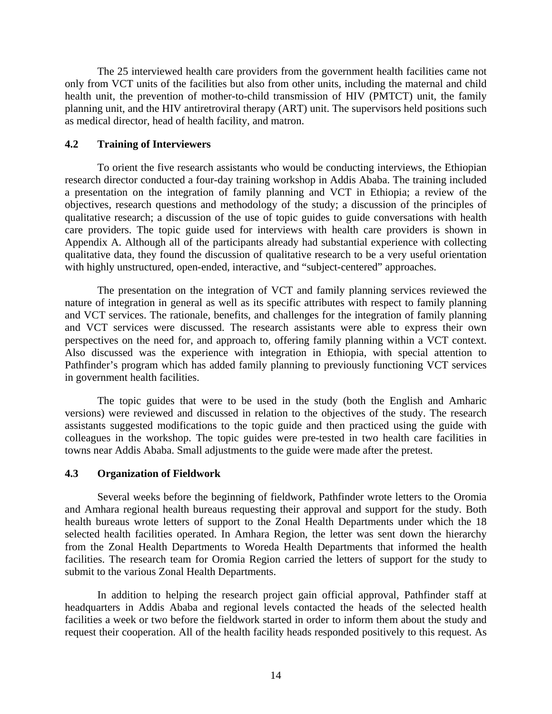The 25 interviewed health care providers from the government health facilities came not only from VCT units of the facilities but also from other units, including the maternal and child health unit, the prevention of mother-to-child transmission of HIV (PMTCT) unit, the family planning unit, and the HIV antiretroviral therapy (ART) unit. The supervisors held positions such as medical director, head of health facility, and matron.

#### **4.2 Training of Interviewers**

To orient the five research assistants who would be conducting interviews, the Ethiopian research director conducted a four-day training workshop in Addis Ababa. The training included a presentation on the integration of family planning and VCT in Ethiopia; a review of the objectives, research questions and methodology of the study; a discussion of the principles of qualitative research; a discussion of the use of topic guides to guide conversations with health care providers. The topic guide used for interviews with health care providers is shown in Appendix A. Although all of the participants already had substantial experience with collecting qualitative data, they found the discussion of qualitative research to be a very useful orientation with highly unstructured, open-ended, interactive, and "subject-centered" approaches.

The presentation on the integration of VCT and family planning services reviewed the nature of integration in general as well as its specific attributes with respect to family planning and VCT services. The rationale, benefits, and challenges for the integration of family planning and VCT services were discussed. The research assistants were able to express their own perspectives on the need for, and approach to, offering family planning within a VCT context. Also discussed was the experience with integration in Ethiopia, with special attention to Pathfinder's program which has added family planning to previously functioning VCT services in government health facilities.

The topic guides that were to be used in the study (both the English and Amharic versions) were reviewed and discussed in relation to the objectives of the study. The research assistants suggested modifications to the topic guide and then practiced using the guide with colleagues in the workshop. The topic guides were pre-tested in two health care facilities in towns near Addis Ababa. Small adjustments to the guide were made after the pretest.

#### **4.3 Organization of Fieldwork**

Several weeks before the beginning of fieldwork, Pathfinder wrote letters to the Oromia and Amhara regional health bureaus requesting their approval and support for the study. Both health bureaus wrote letters of support to the Zonal Health Departments under which the 18 selected health facilities operated. In Amhara Region, the letter was sent down the hierarchy from the Zonal Health Departments to Woreda Health Departments that informed the health facilities. The research team for Oromia Region carried the letters of support for the study to submit to the various Zonal Health Departments.

In addition to helping the research project gain official approval, Pathfinder staff at headquarters in Addis Ababa and regional levels contacted the heads of the selected health facilities a week or two before the fieldwork started in order to inform them about the study and request their cooperation. All of the health facility heads responded positively to this request. As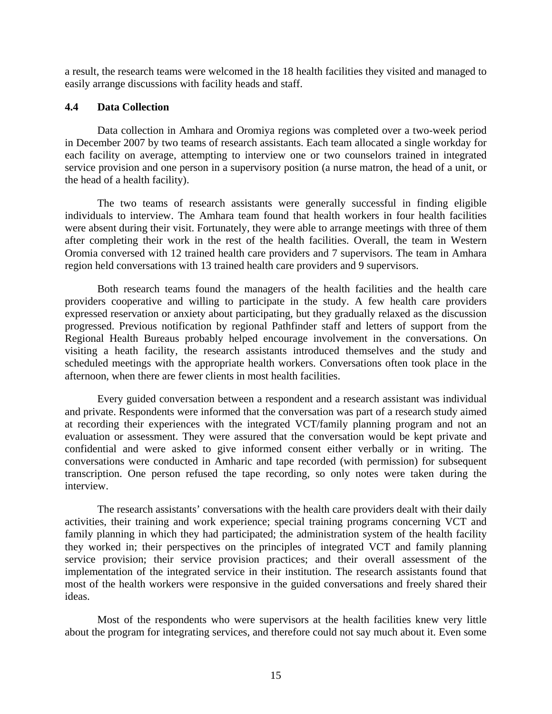a result, the research teams were welcomed in the 18 health facilities they visited and managed to easily arrange discussions with facility heads and staff.

#### **4.4 Data Collection**

Data collection in Amhara and Oromiya regions was completed over a two-week period in December 2007 by two teams of research assistants. Each team allocated a single workday for each facility on average, attempting to interview one or two counselors trained in integrated service provision and one person in a supervisory position (a nurse matron, the head of a unit, or the head of a health facility).

The two teams of research assistants were generally successful in finding eligible individuals to interview. The Amhara team found that health workers in four health facilities were absent during their visit. Fortunately, they were able to arrange meetings with three of them after completing their work in the rest of the health facilities. Overall, the team in Western Oromia conversed with 12 trained health care providers and 7 supervisors. The team in Amhara region held conversations with 13 trained health care providers and 9 supervisors.

Both research teams found the managers of the health facilities and the health care providers cooperative and willing to participate in the study. A few health care providers expressed reservation or anxiety about participating, but they gradually relaxed as the discussion progressed. Previous notification by regional Pathfinder staff and letters of support from the Regional Health Bureaus probably helped encourage involvement in the conversations. On visiting a heath facility, the research assistants introduced themselves and the study and scheduled meetings with the appropriate health workers. Conversations often took place in the afternoon, when there are fewer clients in most health facilities.

Every guided conversation between a respondent and a research assistant was individual and private. Respondents were informed that the conversation was part of a research study aimed at recording their experiences with the integrated VCT/family planning program and not an evaluation or assessment. They were assured that the conversation would be kept private and confidential and were asked to give informed consent either verbally or in writing. The conversations were conducted in Amharic and tape recorded (with permission) for subsequent transcription. One person refused the tape recording, so only notes were taken during the interview.

The research assistants' conversations with the health care providers dealt with their daily activities, their training and work experience; special training programs concerning VCT and family planning in which they had participated; the administration system of the health facility they worked in; their perspectives on the principles of integrated VCT and family planning service provision; their service provision practices; and their overall assessment of the implementation of the integrated service in their institution. The research assistants found that most of the health workers were responsive in the guided conversations and freely shared their ideas.

Most of the respondents who were supervisors at the health facilities knew very little about the program for integrating services, and therefore could not say much about it. Even some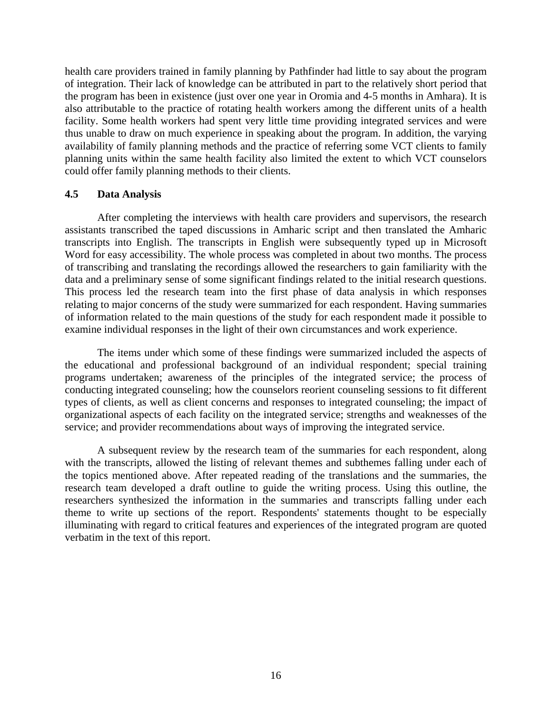health care providers trained in family planning by Pathfinder had little to say about the program of integration. Their lack of knowledge can be attributed in part to the relatively short period that the program has been in existence (just over one year in Oromia and 4-5 months in Amhara). It is also attributable to the practice of rotating health workers among the different units of a health facility. Some health workers had spent very little time providing integrated services and were thus unable to draw on much experience in speaking about the program. In addition, the varying availability of family planning methods and the practice of referring some VCT clients to family planning units within the same health facility also limited the extent to which VCT counselors could offer family planning methods to their clients.

#### **4.5 Data Analysis**

After completing the interviews with health care providers and supervisors, the research assistants transcribed the taped discussions in Amharic script and then translated the Amharic transcripts into English. The transcripts in English were subsequently typed up in Microsoft Word for easy accessibility. The whole process was completed in about two months. The process of transcribing and translating the recordings allowed the researchers to gain familiarity with the data and a preliminary sense of some significant findings related to the initial research questions. This process led the research team into the first phase of data analysis in which responses relating to major concerns of the study were summarized for each respondent. Having summaries of information related to the main questions of the study for each respondent made it possible to examine individual responses in the light of their own circumstances and work experience.

The items under which some of these findings were summarized included the aspects of the educational and professional background of an individual respondent; special training programs undertaken; awareness of the principles of the integrated service; the process of conducting integrated counseling; how the counselors reorient counseling sessions to fit different types of clients, as well as client concerns and responses to integrated counseling; the impact of organizational aspects of each facility on the integrated service; strengths and weaknesses of the service; and provider recommendations about ways of improving the integrated service.

A subsequent review by the research team of the summaries for each respondent, along with the transcripts, allowed the listing of relevant themes and subthemes falling under each of the topics mentioned above. After repeated reading of the translations and the summaries, the research team developed a draft outline to guide the writing process. Using this outline, the researchers synthesized the information in the summaries and transcripts falling under each theme to write up sections of the report. Respondents' statements thought to be especially illuminating with regard to critical features and experiences of the integrated program are quoted verbatim in the text of this report.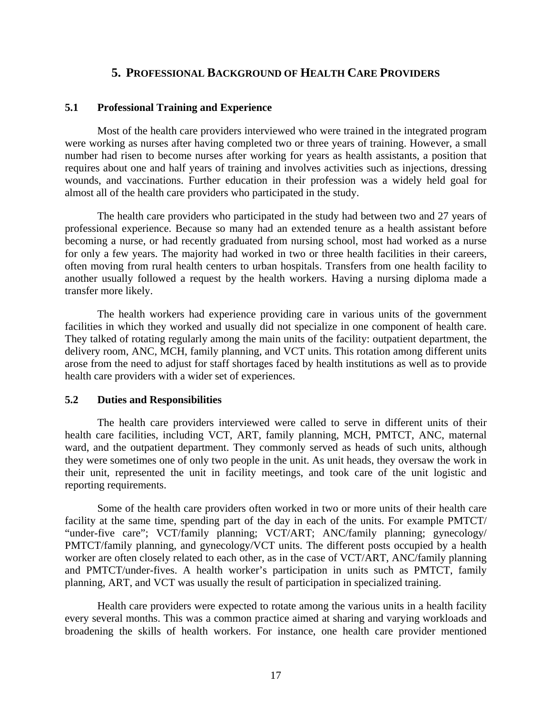#### **5. PROFESSIONAL BACKGROUND OF HEALTH CARE PROVIDERS**

#### **5.1 Professional Training and Experience**

Most of the health care providers interviewed who were trained in the integrated program were working as nurses after having completed two or three years of training. However, a small number had risen to become nurses after working for years as health assistants, a position that requires about one and half years of training and involves activities such as injections, dressing wounds, and vaccinations. Further education in their profession was a widely held goal for almost all of the health care providers who participated in the study.

The health care providers who participated in the study had between two and 27 years of professional experience. Because so many had an extended tenure as a health assistant before becoming a nurse, or had recently graduated from nursing school, most had worked as a nurse for only a few years. The majority had worked in two or three health facilities in their careers, often moving from rural health centers to urban hospitals. Transfers from one health facility to another usually followed a request by the health workers. Having a nursing diploma made a transfer more likely.

The health workers had experience providing care in various units of the government facilities in which they worked and usually did not specialize in one component of health care. They talked of rotating regularly among the main units of the facility: outpatient department, the delivery room, ANC, MCH, family planning, and VCT units. This rotation among different units arose from the need to adjust for staff shortages faced by health institutions as well as to provide health care providers with a wider set of experiences.

#### **5.2 Duties and Responsibilities**

The health care providers interviewed were called to serve in different units of their health care facilities, including VCT, ART, family planning, MCH, PMTCT, ANC, maternal ward, and the outpatient department. They commonly served as heads of such units, although they were sometimes one of only two people in the unit. As unit heads, they oversaw the work in their unit, represented the unit in facility meetings, and took care of the unit logistic and reporting requirements.

Some of the health care providers often worked in two or more units of their health care facility at the same time, spending part of the day in each of the units. For example PMTCT/ "under-five care"; VCT/family planning; VCT/ART; ANC/family planning; gynecology/ PMTCT/family planning, and gynecology/VCT units. The different posts occupied by a health worker are often closely related to each other, as in the case of VCT/ART, ANC/family planning and PMTCT/under-fives. A health worker's participation in units such as PMTCT, family planning, ART, and VCT was usually the result of participation in specialized training.

Health care providers were expected to rotate among the various units in a health facility every several months. This was a common practice aimed at sharing and varying workloads and broadening the skills of health workers. For instance, one health care provider mentioned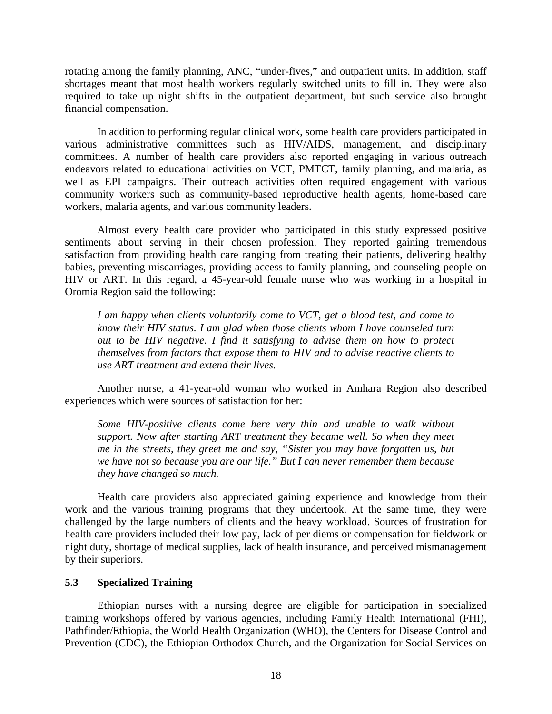rotating among the family planning, ANC, "under-fives," and outpatient units. In addition, staff shortages meant that most health workers regularly switched units to fill in. They were also required to take up night shifts in the outpatient department, but such service also brought financial compensation.

In addition to performing regular clinical work, some health care providers participated in various administrative committees such as HIV/AIDS, management, and disciplinary committees. A number of health care providers also reported engaging in various outreach endeavors related to educational activities on VCT, PMTCT, family planning, and malaria, as well as EPI campaigns. Their outreach activities often required engagement with various community workers such as community-based reproductive health agents, home-based care workers, malaria agents, and various community leaders.

Almost every health care provider who participated in this study expressed positive sentiments about serving in their chosen profession. They reported gaining tremendous satisfaction from providing health care ranging from treating their patients, delivering healthy babies, preventing miscarriages, providing access to family planning, and counseling people on HIV or ART. In this regard, a 45-year-old female nurse who was working in a hospital in Oromia Region said the following:

*I am happy when clients voluntarily come to VCT, get a blood test, and come to know their HIV status. I am glad when those clients whom I have counseled turn out to be HIV negative. I find it satisfying to advise them on how to protect themselves from factors that expose them to HIV and to advise reactive clients to use ART treatment and extend their lives.* 

Another nurse, a 41-year-old woman who worked in Amhara Region also described experiences which were sources of satisfaction for her:

*Some HIV-positive clients come here very thin and unable to walk without support. Now after starting ART treatment they became well. So when they meet me in the streets, they greet me and say, "Sister you may have forgotten us, but we have not so because you are our life." But I can never remember them because they have changed so much.* 

Health care providers also appreciated gaining experience and knowledge from their work and the various training programs that they undertook. At the same time, they were challenged by the large numbers of clients and the heavy workload. Sources of frustration for health care providers included their low pay, lack of per diems or compensation for fieldwork or night duty, shortage of medical supplies, lack of health insurance, and perceived mismanagement by their superiors.

#### **5.3 Specialized Training**

Ethiopian nurses with a nursing degree are eligible for participation in specialized training workshops offered by various agencies, including Family Health International (FHI), Pathfinder/Ethiopia, the World Health Organization (WHO), the Centers for Disease Control and Prevention (CDC), the Ethiopian Orthodox Church, and the Organization for Social Services on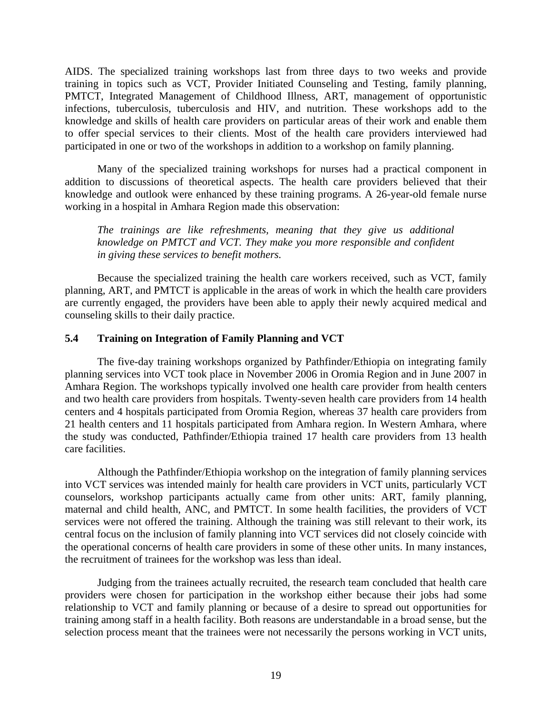AIDS. The specialized training workshops last from three days to two weeks and provide training in topics such as VCT, Provider Initiated Counseling and Testing, family planning, PMTCT, Integrated Management of Childhood Illness, ART, management of opportunistic infections, tuberculosis, tuberculosis and HIV, and nutrition. These workshops add to the knowledge and skills of health care providers on particular areas of their work and enable them to offer special services to their clients. Most of the health care providers interviewed had participated in one or two of the workshops in addition to a workshop on family planning.

Many of the specialized training workshops for nurses had a practical component in addition to discussions of theoretical aspects. The health care providers believed that their knowledge and outlook were enhanced by these training programs. A 26-year-old female nurse working in a hospital in Amhara Region made this observation:

*The trainings are like refreshments, meaning that they give us additional knowledge on PMTCT and VCT. They make you more responsible and confident in giving these services to benefit mothers.* 

Because the specialized training the health care workers received, such as VCT, family planning, ART, and PMTCT is applicable in the areas of work in which the health care providers are currently engaged, the providers have been able to apply their newly acquired medical and counseling skills to their daily practice.

#### **5.4 Training on Integration of Family Planning and VCT**

The five-day training workshops organized by Pathfinder/Ethiopia on integrating family planning services into VCT took place in November 2006 in Oromia Region and in June 2007 in Amhara Region. The workshops typically involved one health care provider from health centers and two health care providers from hospitals. Twenty-seven health care providers from 14 health centers and 4 hospitals participated from Oromia Region, whereas 37 health care providers from 21 health centers and 11 hospitals participated from Amhara region. In Western Amhara, where the study was conducted, Pathfinder/Ethiopia trained 17 health care providers from 13 health care facilities.

Although the Pathfinder/Ethiopia workshop on the integration of family planning services into VCT services was intended mainly for health care providers in VCT units, particularly VCT counselors, workshop participants actually came from other units: ART, family planning, maternal and child health, ANC, and PMTCT. In some health facilities, the providers of VCT services were not offered the training. Although the training was still relevant to their work, its central focus on the inclusion of family planning into VCT services did not closely coincide with the operational concerns of health care providers in some of these other units. In many instances, the recruitment of trainees for the workshop was less than ideal.

Judging from the trainees actually recruited, the research team concluded that health care providers were chosen for participation in the workshop either because their jobs had some relationship to VCT and family planning or because of a desire to spread out opportunities for training among staff in a health facility. Both reasons are understandable in a broad sense, but the selection process meant that the trainees were not necessarily the persons working in VCT units,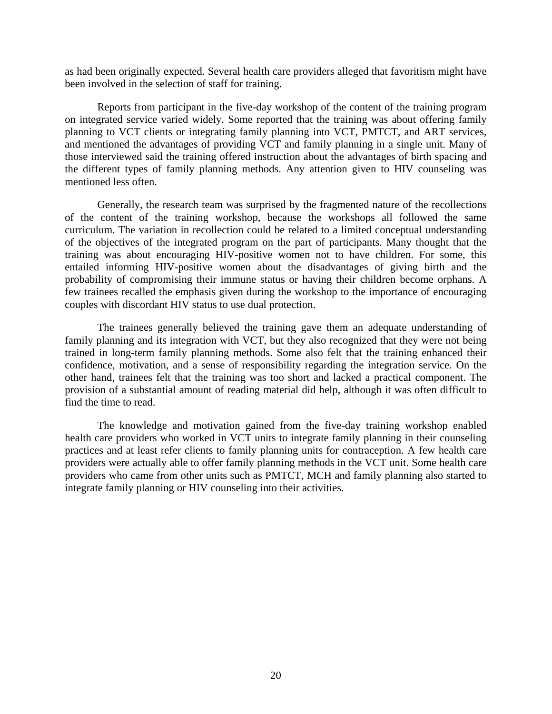as had been originally expected. Several health care providers alleged that favoritism might have been involved in the selection of staff for training.

Reports from participant in the five-day workshop of the content of the training program on integrated service varied widely. Some reported that the training was about offering family planning to VCT clients or integrating family planning into VCT, PMTCT, and ART services, and mentioned the advantages of providing VCT and family planning in a single unit. Many of those interviewed said the training offered instruction about the advantages of birth spacing and the different types of family planning methods. Any attention given to HIV counseling was mentioned less often.

Generally, the research team was surprised by the fragmented nature of the recollections of the content of the training workshop, because the workshops all followed the same curriculum. The variation in recollection could be related to a limited conceptual understanding of the objectives of the integrated program on the part of participants. Many thought that the training was about encouraging HIV-positive women not to have children. For some, this entailed informing HIV-positive women about the disadvantages of giving birth and the probability of compromising their immune status or having their children become orphans. A few trainees recalled the emphasis given during the workshop to the importance of encouraging couples with discordant HIV status to use dual protection.

The trainees generally believed the training gave them an adequate understanding of family planning and its integration with VCT, but they also recognized that they were not being trained in long-term family planning methods. Some also felt that the training enhanced their confidence, motivation, and a sense of responsibility regarding the integration service. On the other hand, trainees felt that the training was too short and lacked a practical component. The provision of a substantial amount of reading material did help, although it was often difficult to find the time to read.

The knowledge and motivation gained from the five-day training workshop enabled health care providers who worked in VCT units to integrate family planning in their counseling practices and at least refer clients to family planning units for contraception. A few health care providers were actually able to offer family planning methods in the VCT unit. Some health care providers who came from other units such as PMTCT, MCH and family planning also started to integrate family planning or HIV counseling into their activities.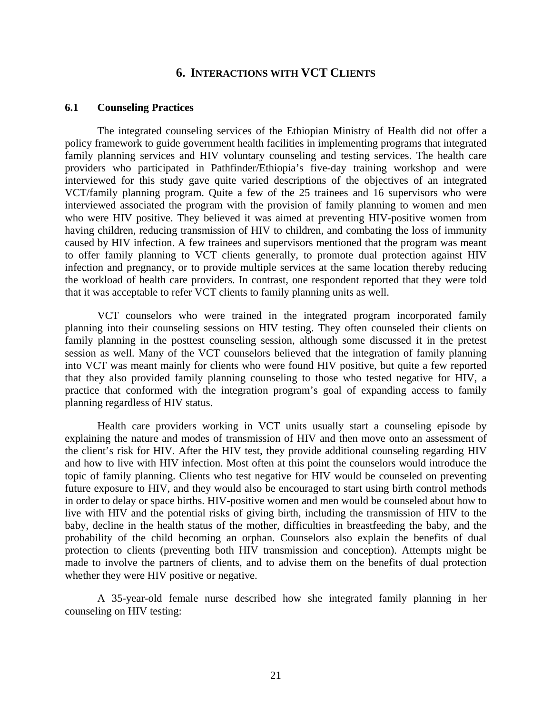#### **6. INTERACTIONS WITH VCT CLIENTS**

#### **6.1 Counseling Practices**

The integrated counseling services of the Ethiopian Ministry of Health did not offer a policy framework to guide government health facilities in implementing programs that integrated family planning services and HIV voluntary counseling and testing services. The health care providers who participated in Pathfinder/Ethiopia's five-day training workshop and were interviewed for this study gave quite varied descriptions of the objectives of an integrated VCT/family planning program. Quite a few of the 25 trainees and 16 supervisors who were interviewed associated the program with the provision of family planning to women and men who were HIV positive. They believed it was aimed at preventing HIV-positive women from having children, reducing transmission of HIV to children, and combating the loss of immunity caused by HIV infection. A few trainees and supervisors mentioned that the program was meant to offer family planning to VCT clients generally, to promote dual protection against HIV infection and pregnancy, or to provide multiple services at the same location thereby reducing the workload of health care providers. In contrast, one respondent reported that they were told that it was acceptable to refer VCT clients to family planning units as well.

VCT counselors who were trained in the integrated program incorporated family planning into their counseling sessions on HIV testing. They often counseled their clients on family planning in the posttest counseling session, although some discussed it in the pretest session as well. Many of the VCT counselors believed that the integration of family planning into VCT was meant mainly for clients who were found HIV positive, but quite a few reported that they also provided family planning counseling to those who tested negative for HIV, a practice that conformed with the integration program's goal of expanding access to family planning regardless of HIV status.

Health care providers working in VCT units usually start a counseling episode by explaining the nature and modes of transmission of HIV and then move onto an assessment of the client's risk for HIV. After the HIV test, they provide additional counseling regarding HIV and how to live with HIV infection. Most often at this point the counselors would introduce the topic of family planning. Clients who test negative for HIV would be counseled on preventing future exposure to HIV, and they would also be encouraged to start using birth control methods in order to delay or space births. HIV-positive women and men would be counseled about how to live with HIV and the potential risks of giving birth, including the transmission of HIV to the baby, decline in the health status of the mother, difficulties in breastfeeding the baby, and the probability of the child becoming an orphan. Counselors also explain the benefits of dual protection to clients (preventing both HIV transmission and conception). Attempts might be made to involve the partners of clients, and to advise them on the benefits of dual protection whether they were HIV positive or negative.

A 35-year-old female nurse described how she integrated family planning in her counseling on HIV testing: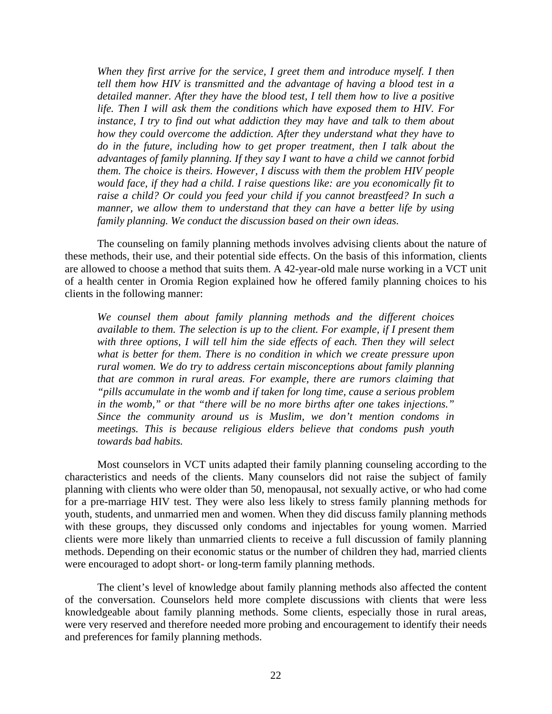*When they first arrive for the service, I greet them and introduce myself. I then tell them how HIV is transmitted and the advantage of having a blood test in a detailed manner. After they have the blood test, I tell them how to live a positive life. Then I will ask them the conditions which have exposed them to HIV. For instance, I try to find out what addiction they may have and talk to them about how they could overcome the addiction. After they understand what they have to do in the future, including how to get proper treatment, then I talk about the advantages of family planning. If they say I want to have a child we cannot forbid them. The choice is theirs. However, I discuss with them the problem HIV people would face, if they had a child. I raise questions like: are you economically fit to*  raise a child? Or could you feed your child if you cannot breastfeed? In such a *manner, we allow them to understand that they can have a better life by using family planning. We conduct the discussion based on their own ideas.* 

The counseling on family planning methods involves advising clients about the nature of these methods, their use, and their potential side effects. On the basis of this information, clients are allowed to choose a method that suits them. A 42-year-old male nurse working in a VCT unit of a health center in Oromia Region explained how he offered family planning choices to his clients in the following manner:

*We counsel them about family planning methods and the different choices available to them. The selection is up to the client. For example, if I present them*  with three options, I will tell him the side effects of each. Then they will select *what is better for them. There is no condition in which we create pressure upon rural women. We do try to address certain misconceptions about family planning that are common in rural areas. For example, there are rumors claiming that "pills accumulate in the womb and if taken for long time, cause a serious problem in the womb," or that "there will be no more births after one takes injections." Since the community around us is Muslim, we don't mention condoms in meetings. This is because religious elders believe that condoms push youth towards bad habits.* 

Most counselors in VCT units adapted their family planning counseling according to the characteristics and needs of the clients. Many counselors did not raise the subject of family planning with clients who were older than 50, menopausal, not sexually active, or who had come for a pre-marriage HIV test. They were also less likely to stress family planning methods for youth, students, and unmarried men and women. When they did discuss family planning methods with these groups, they discussed only condoms and injectables for young women. Married clients were more likely than unmarried clients to receive a full discussion of family planning methods. Depending on their economic status or the number of children they had, married clients were encouraged to adopt short- or long-term family planning methods.

The client's level of knowledge about family planning methods also affected the content of the conversation. Counselors held more complete discussions with clients that were less knowledgeable about family planning methods. Some clients, especially those in rural areas, were very reserved and therefore needed more probing and encouragement to identify their needs and preferences for family planning methods.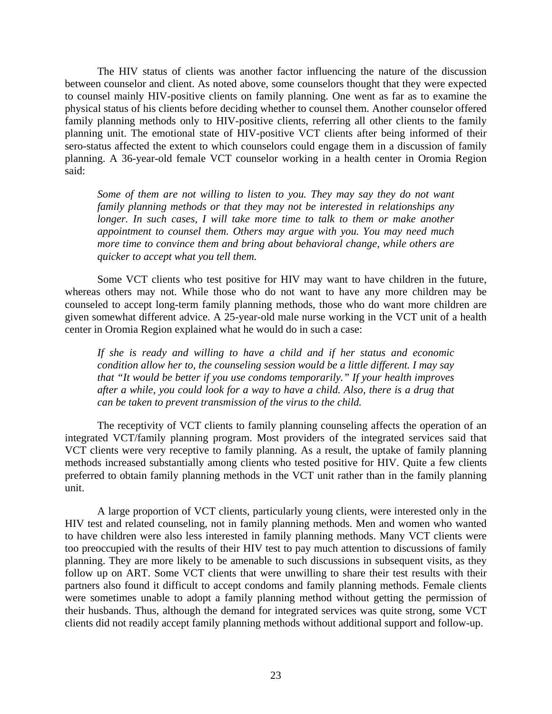The HIV status of clients was another factor influencing the nature of the discussion between counselor and client. As noted above, some counselors thought that they were expected to counsel mainly HIV-positive clients on family planning. One went as far as to examine the physical status of his clients before deciding whether to counsel them. Another counselor offered family planning methods only to HIV-positive clients, referring all other clients to the family planning unit. The emotional state of HIV-positive VCT clients after being informed of their sero-status affected the extent to which counselors could engage them in a discussion of family planning. A 36-year-old female VCT counselor working in a health center in Oromia Region said:

*Some of them are not willing to listen to you. They may say they do not want family planning methods or that they may not be interested in relationships any longer. In such cases, I will take more time to talk to them or make another appointment to counsel them. Others may argue with you. You may need much more time to convince them and bring about behavioral change, while others are quicker to accept what you tell them.* 

Some VCT clients who test positive for HIV may want to have children in the future, whereas others may not. While those who do not want to have any more children may be counseled to accept long-term family planning methods, those who do want more children are given somewhat different advice. A 25-year-old male nurse working in the VCT unit of a health center in Oromia Region explained what he would do in such a case:

*If she is ready and willing to have a child and if her status and economic condition allow her to, the counseling session would be a little different. I may say that "It would be better if you use condoms temporarily." If your health improves after a while, you could look for a way to have a child. Also, there is a drug that can be taken to prevent transmission of the virus to the child.* 

The receptivity of VCT clients to family planning counseling affects the operation of an integrated VCT/family planning program. Most providers of the integrated services said that VCT clients were very receptive to family planning. As a result, the uptake of family planning methods increased substantially among clients who tested positive for HIV. Quite a few clients preferred to obtain family planning methods in the VCT unit rather than in the family planning unit.

A large proportion of VCT clients, particularly young clients, were interested only in the HIV test and related counseling, not in family planning methods. Men and women who wanted to have children were also less interested in family planning methods. Many VCT clients were too preoccupied with the results of their HIV test to pay much attention to discussions of family planning. They are more likely to be amenable to such discussions in subsequent visits, as they follow up on ART. Some VCT clients that were unwilling to share their test results with their partners also found it difficult to accept condoms and family planning methods. Female clients were sometimes unable to adopt a family planning method without getting the permission of their husbands. Thus, although the demand for integrated services was quite strong, some VCT clients did not readily accept family planning methods without additional support and follow-up.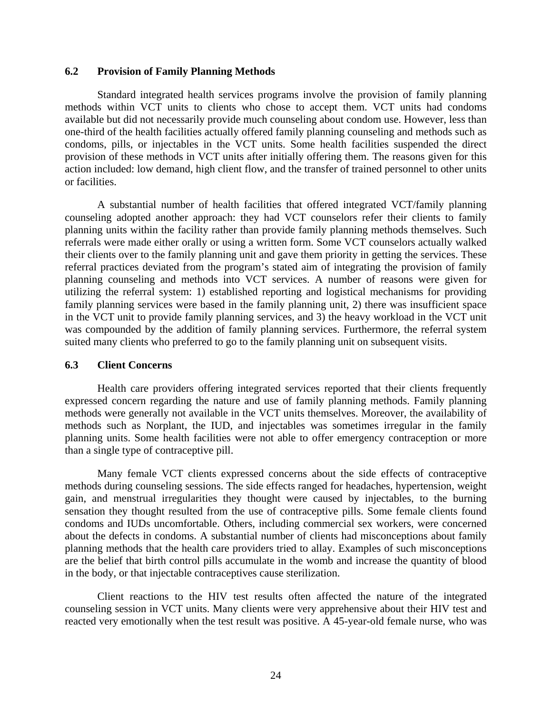#### **6.2 Provision of Family Planning Methods**

Standard integrated health services programs involve the provision of family planning methods within VCT units to clients who chose to accept them. VCT units had condoms available but did not necessarily provide much counseling about condom use. However, less than one-third of the health facilities actually offered family planning counseling and methods such as condoms, pills, or injectables in the VCT units. Some health facilities suspended the direct provision of these methods in VCT units after initially offering them. The reasons given for this action included: low demand, high client flow, and the transfer of trained personnel to other units or facilities.

A substantial number of health facilities that offered integrated VCT/family planning counseling adopted another approach: they had VCT counselors refer their clients to family planning units within the facility rather than provide family planning methods themselves. Such referrals were made either orally or using a written form. Some VCT counselors actually walked their clients over to the family planning unit and gave them priority in getting the services. These referral practices deviated from the program's stated aim of integrating the provision of family planning counseling and methods into VCT services. A number of reasons were given for utilizing the referral system: 1) established reporting and logistical mechanisms for providing family planning services were based in the family planning unit, 2) there was insufficient space in the VCT unit to provide family planning services, and 3) the heavy workload in the VCT unit was compounded by the addition of family planning services. Furthermore, the referral system suited many clients who preferred to go to the family planning unit on subsequent visits.

#### **6.3 Client Concerns**

Health care providers offering integrated services reported that their clients frequently expressed concern regarding the nature and use of family planning methods. Family planning methods were generally not available in the VCT units themselves. Moreover, the availability of methods such as Norplant, the IUD, and injectables was sometimes irregular in the family planning units. Some health facilities were not able to offer emergency contraception or more than a single type of contraceptive pill.

Many female VCT clients expressed concerns about the side effects of contraceptive methods during counseling sessions. The side effects ranged for headaches, hypertension, weight gain, and menstrual irregularities they thought were caused by injectables, to the burning sensation they thought resulted from the use of contraceptive pills. Some female clients found condoms and IUDs uncomfortable. Others, including commercial sex workers, were concerned about the defects in condoms. A substantial number of clients had misconceptions about family planning methods that the health care providers tried to allay. Examples of such misconceptions are the belief that birth control pills accumulate in the womb and increase the quantity of blood in the body, or that injectable contraceptives cause sterilization.

Client reactions to the HIV test results often affected the nature of the integrated counseling session in VCT units. Many clients were very apprehensive about their HIV test and reacted very emotionally when the test result was positive. A 45-year-old female nurse, who was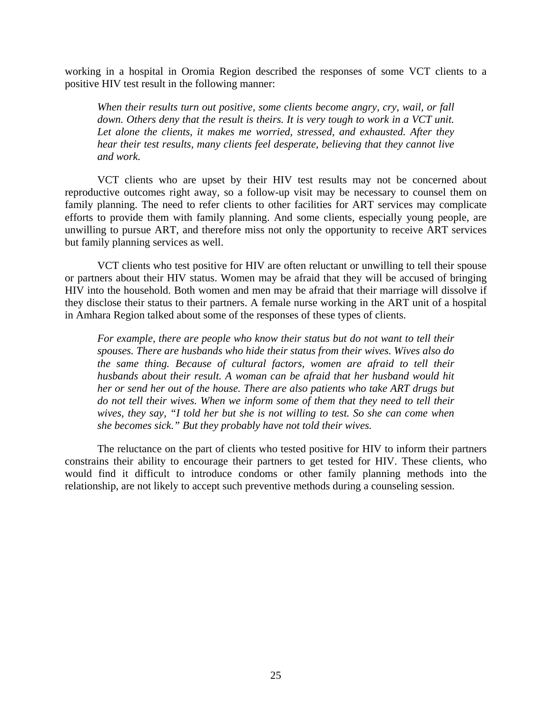working in a hospital in Oromia Region described the responses of some VCT clients to a positive HIV test result in the following manner:

*When their results turn out positive, some clients become angry, cry, wail, or fall down. Others deny that the result is theirs. It is very tough to work in a VCT unit.*  Let alone the clients, it makes me worried, stressed, and exhausted. After they *hear their test results, many clients feel desperate, believing that they cannot live and work.* 

VCT clients who are upset by their HIV test results may not be concerned about reproductive outcomes right away, so a follow-up visit may be necessary to counsel them on family planning. The need to refer clients to other facilities for ART services may complicate efforts to provide them with family planning. And some clients, especially young people, are unwilling to pursue ART, and therefore miss not only the opportunity to receive ART services but family planning services as well.

VCT clients who test positive for HIV are often reluctant or unwilling to tell their spouse or partners about their HIV status. Women may be afraid that they will be accused of bringing HIV into the household. Both women and men may be afraid that their marriage will dissolve if they disclose their status to their partners. A female nurse working in the ART unit of a hospital in Amhara Region talked about some of the responses of these types of clients.

*For example, there are people who know their status but do not want to tell their spouses. There are husbands who hide their status from their wives. Wives also do the same thing. Because of cultural factors, women are afraid to tell their husbands about their result. A woman can be afraid that her husband would hit her or send her out of the house. There are also patients who take ART drugs but*  do not tell their wives. When we inform some of them that they need to tell their *wives, they say, "I told her but she is not willing to test. So she can come when she becomes sick." But they probably have not told their wives.* 

The reluctance on the part of clients who tested positive for HIV to inform their partners constrains their ability to encourage their partners to get tested for HIV. These clients, who would find it difficult to introduce condoms or other family planning methods into the relationship, are not likely to accept such preventive methods during a counseling session.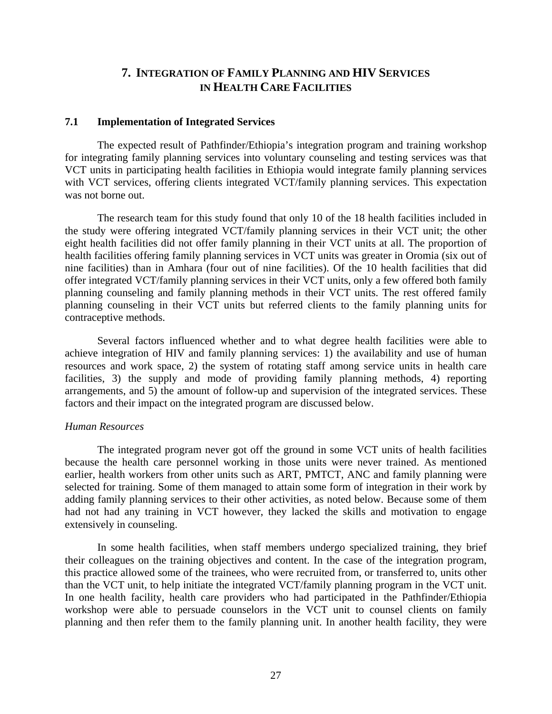### **7. INTEGRATION OF FAMILY PLANNING AND HIV SERVICES IN HEALTH CARE FACILITIES**

#### **7.1 Implementation of Integrated Services**

The expected result of Pathfinder/Ethiopia's integration program and training workshop for integrating family planning services into voluntary counseling and testing services was that VCT units in participating health facilities in Ethiopia would integrate family planning services with VCT services, offering clients integrated VCT/family planning services. This expectation was not borne out.

The research team for this study found that only 10 of the 18 health facilities included in the study were offering integrated VCT/family planning services in their VCT unit; the other eight health facilities did not offer family planning in their VCT units at all. The proportion of health facilities offering family planning services in VCT units was greater in Oromia (six out of nine facilities) than in Amhara (four out of nine facilities). Of the 10 health facilities that did offer integrated VCT/family planning services in their VCT units, only a few offered both family planning counseling and family planning methods in their VCT units. The rest offered family planning counseling in their VCT units but referred clients to the family planning units for contraceptive methods.

Several factors influenced whether and to what degree health facilities were able to achieve integration of HIV and family planning services: 1) the availability and use of human resources and work space, 2) the system of rotating staff among service units in health care facilities, 3) the supply and mode of providing family planning methods, 4) reporting arrangements, and 5) the amount of follow-up and supervision of the integrated services. These factors and their impact on the integrated program are discussed below.

#### *Human Resources*

The integrated program never got off the ground in some VCT units of health facilities because the health care personnel working in those units were never trained. As mentioned earlier, health workers from other units such as ART, PMTCT, ANC and family planning were selected for training. Some of them managed to attain some form of integration in their work by adding family planning services to their other activities, as noted below. Because some of them had not had any training in VCT however, they lacked the skills and motivation to engage extensively in counseling.

In some health facilities, when staff members undergo specialized training, they brief their colleagues on the training objectives and content. In the case of the integration program, this practice allowed some of the trainees, who were recruited from, or transferred to, units other than the VCT unit, to help initiate the integrated VCT/family planning program in the VCT unit. In one health facility, health care providers who had participated in the Pathfinder/Ethiopia workshop were able to persuade counselors in the VCT unit to counsel clients on family planning and then refer them to the family planning unit. In another health facility, they were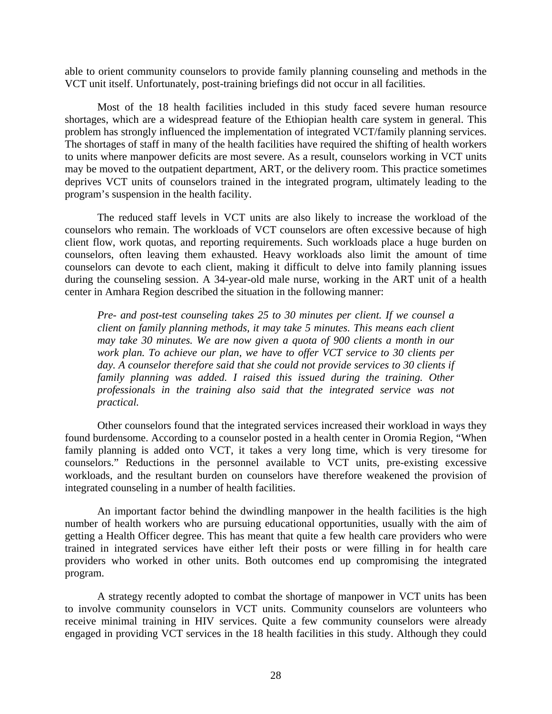able to orient community counselors to provide family planning counseling and methods in the VCT unit itself. Unfortunately, post-training briefings did not occur in all facilities.

Most of the 18 health facilities included in this study faced severe human resource shortages, which are a widespread feature of the Ethiopian health care system in general. This problem has strongly influenced the implementation of integrated VCT/family planning services. The shortages of staff in many of the health facilities have required the shifting of health workers to units where manpower deficits are most severe. As a result, counselors working in VCT units may be moved to the outpatient department, ART, or the delivery room. This practice sometimes deprives VCT units of counselors trained in the integrated program, ultimately leading to the program's suspension in the health facility.

The reduced staff levels in VCT units are also likely to increase the workload of the counselors who remain. The workloads of VCT counselors are often excessive because of high client flow, work quotas, and reporting requirements. Such workloads place a huge burden on counselors, often leaving them exhausted. Heavy workloads also limit the amount of time counselors can devote to each client, making it difficult to delve into family planning issues during the counseling session. A 34-year-old male nurse, working in the ART unit of a health center in Amhara Region described the situation in the following manner:

*Pre- and post-test counseling takes 25 to 30 minutes per client. If we counsel a client on family planning methods, it may take 5 minutes. This means each client may take 30 minutes. We are now given a quota of 900 clients a month in our work plan. To achieve our plan, we have to offer VCT service to 30 clients per*  day. A counselor therefore said that she could not provide services to 30 clients if *family planning was added. I raised this issued during the training. Other professionals in the training also said that the integrated service was not practical.* 

Other counselors found that the integrated services increased their workload in ways they found burdensome. According to a counselor posted in a health center in Oromia Region, "When family planning is added onto VCT, it takes a very long time, which is very tiresome for counselors." Reductions in the personnel available to VCT units, pre-existing excessive workloads, and the resultant burden on counselors have therefore weakened the provision of integrated counseling in a number of health facilities.

An important factor behind the dwindling manpower in the health facilities is the high number of health workers who are pursuing educational opportunities, usually with the aim of getting a Health Officer degree. This has meant that quite a few health care providers who were trained in integrated services have either left their posts or were filling in for health care providers who worked in other units. Both outcomes end up compromising the integrated program.

A strategy recently adopted to combat the shortage of manpower in VCT units has been to involve community counselors in VCT units. Community counselors are volunteers who receive minimal training in HIV services. Quite a few community counselors were already engaged in providing VCT services in the 18 health facilities in this study. Although they could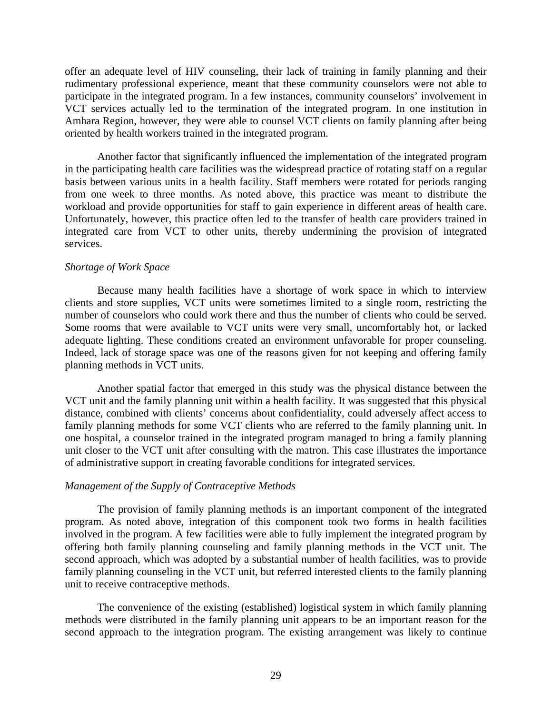offer an adequate level of HIV counseling, their lack of training in family planning and their rudimentary professional experience, meant that these community counselors were not able to participate in the integrated program. In a few instances, community counselors' involvement in VCT services actually led to the termination of the integrated program. In one institution in Amhara Region, however, they were able to counsel VCT clients on family planning after being oriented by health workers trained in the integrated program.

Another factor that significantly influenced the implementation of the integrated program in the participating health care facilities was the widespread practice of rotating staff on a regular basis between various units in a health facility. Staff members were rotated for periods ranging from one week to three months. As noted above, this practice was meant to distribute the workload and provide opportunities for staff to gain experience in different areas of health care. Unfortunately, however, this practice often led to the transfer of health care providers trained in integrated care from VCT to other units, thereby undermining the provision of integrated services.

#### *Shortage of Work Space*

Because many health facilities have a shortage of work space in which to interview clients and store supplies, VCT units were sometimes limited to a single room, restricting the number of counselors who could work there and thus the number of clients who could be served. Some rooms that were available to VCT units were very small, uncomfortably hot, or lacked adequate lighting. These conditions created an environment unfavorable for proper counseling. Indeed, lack of storage space was one of the reasons given for not keeping and offering family planning methods in VCT units.

Another spatial factor that emerged in this study was the physical distance between the VCT unit and the family planning unit within a health facility. It was suggested that this physical distance, combined with clients' concerns about confidentiality, could adversely affect access to family planning methods for some VCT clients who are referred to the family planning unit. In one hospital, a counselor trained in the integrated program managed to bring a family planning unit closer to the VCT unit after consulting with the matron. This case illustrates the importance of administrative support in creating favorable conditions for integrated services.

#### *Management of the Supply of Contraceptive Methods*

The provision of family planning methods is an important component of the integrated program. As noted above, integration of this component took two forms in health facilities involved in the program. A few facilities were able to fully implement the integrated program by offering both family planning counseling and family planning methods in the VCT unit. The second approach, which was adopted by a substantial number of health facilities, was to provide family planning counseling in the VCT unit, but referred interested clients to the family planning unit to receive contraceptive methods.

The convenience of the existing (established) logistical system in which family planning methods were distributed in the family planning unit appears to be an important reason for the second approach to the integration program. The existing arrangement was likely to continue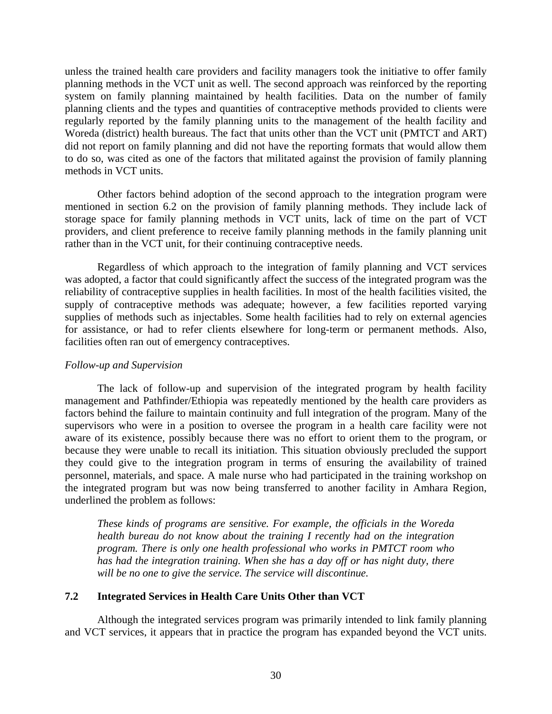unless the trained health care providers and facility managers took the initiative to offer family planning methods in the VCT unit as well. The second approach was reinforced by the reporting system on family planning maintained by health facilities. Data on the number of family planning clients and the types and quantities of contraceptive methods provided to clients were regularly reported by the family planning units to the management of the health facility and Woreda (district) health bureaus. The fact that units other than the VCT unit (PMTCT and ART) did not report on family planning and did not have the reporting formats that would allow them to do so, was cited as one of the factors that militated against the provision of family planning methods in VCT units.

Other factors behind adoption of the second approach to the integration program were mentioned in section 6.2 on the provision of family planning methods. They include lack of storage space for family planning methods in VCT units, lack of time on the part of VCT providers, and client preference to receive family planning methods in the family planning unit rather than in the VCT unit, for their continuing contraceptive needs.

Regardless of which approach to the integration of family planning and VCT services was adopted, a factor that could significantly affect the success of the integrated program was the reliability of contraceptive supplies in health facilities. In most of the health facilities visited, the supply of contraceptive methods was adequate; however, a few facilities reported varying supplies of methods such as injectables. Some health facilities had to rely on external agencies for assistance, or had to refer clients elsewhere for long-term or permanent methods. Also, facilities often ran out of emergency contraceptives.

#### *Follow-up and Supervision*

The lack of follow-up and supervision of the integrated program by health facility management and Pathfinder/Ethiopia was repeatedly mentioned by the health care providers as factors behind the failure to maintain continuity and full integration of the program. Many of the supervisors who were in a position to oversee the program in a health care facility were not aware of its existence, possibly because there was no effort to orient them to the program, or because they were unable to recall its initiation. This situation obviously precluded the support they could give to the integration program in terms of ensuring the availability of trained personnel, materials, and space. A male nurse who had participated in the training workshop on the integrated program but was now being transferred to another facility in Amhara Region, underlined the problem as follows:

*These kinds of programs are sensitive. For example, the officials in the Woreda health bureau do not know about the training I recently had on the integration program. There is only one health professional who works in PMTCT room who has had the integration training. When she has a day off or has night duty, there will be no one to give the service. The service will discontinue.* 

#### **7.2 Integrated Services in Health Care Units Other than VCT**

Although the integrated services program was primarily intended to link family planning and VCT services, it appears that in practice the program has expanded beyond the VCT units.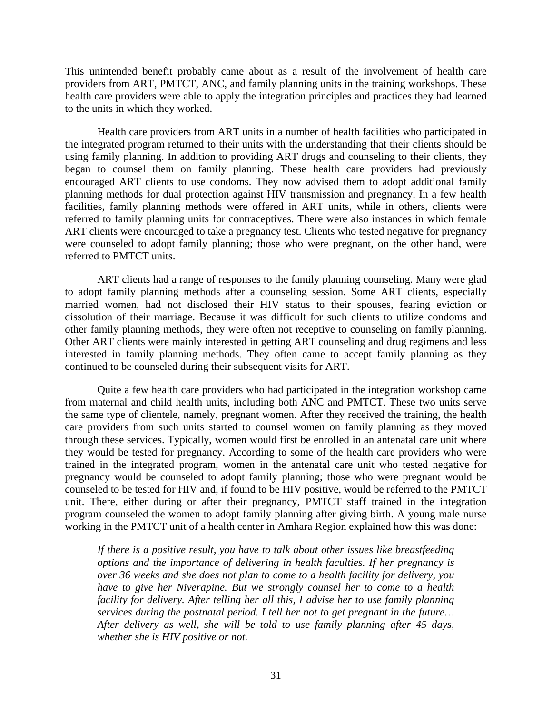This unintended benefit probably came about as a result of the involvement of health care providers from ART, PMTCT, ANC, and family planning units in the training workshops. These health care providers were able to apply the integration principles and practices they had learned to the units in which they worked.

Health care providers from ART units in a number of health facilities who participated in the integrated program returned to their units with the understanding that their clients should be using family planning. In addition to providing ART drugs and counseling to their clients, they began to counsel them on family planning. These health care providers had previously encouraged ART clients to use condoms. They now advised them to adopt additional family planning methods for dual protection against HIV transmission and pregnancy. In a few health facilities, family planning methods were offered in ART units, while in others, clients were referred to family planning units for contraceptives. There were also instances in which female ART clients were encouraged to take a pregnancy test. Clients who tested negative for pregnancy were counseled to adopt family planning; those who were pregnant, on the other hand, were referred to PMTCT units.

ART clients had a range of responses to the family planning counseling. Many were glad to adopt family planning methods after a counseling session. Some ART clients, especially married women, had not disclosed their HIV status to their spouses, fearing eviction or dissolution of their marriage. Because it was difficult for such clients to utilize condoms and other family planning methods, they were often not receptive to counseling on family planning. Other ART clients were mainly interested in getting ART counseling and drug regimens and less interested in family planning methods. They often came to accept family planning as they continued to be counseled during their subsequent visits for ART.

Quite a few health care providers who had participated in the integration workshop came from maternal and child health units, including both ANC and PMTCT. These two units serve the same type of clientele, namely, pregnant women. After they received the training, the health care providers from such units started to counsel women on family planning as they moved through these services. Typically, women would first be enrolled in an antenatal care unit where they would be tested for pregnancy. According to some of the health care providers who were trained in the integrated program, women in the antenatal care unit who tested negative for pregnancy would be counseled to adopt family planning; those who were pregnant would be counseled to be tested for HIV and, if found to be HIV positive, would be referred to the PMTCT unit. There, either during or after their pregnancy, PMTCT staff trained in the integration program counseled the women to adopt family planning after giving birth. A young male nurse working in the PMTCT unit of a health center in Amhara Region explained how this was done:

*If there is a positive result, you have to talk about other issues like breastfeeding options and the importance of delivering in health faculties. If her pregnancy is over 36 weeks and she does not plan to come to a health facility for delivery, you have to give her Niverapine. But we strongly counsel her to come to a health facility for delivery. After telling her all this, I advise her to use family planning services during the postnatal period. I tell her not to get pregnant in the future… After delivery as well, she will be told to use family planning after 45 days, whether she is HIV positive or not.*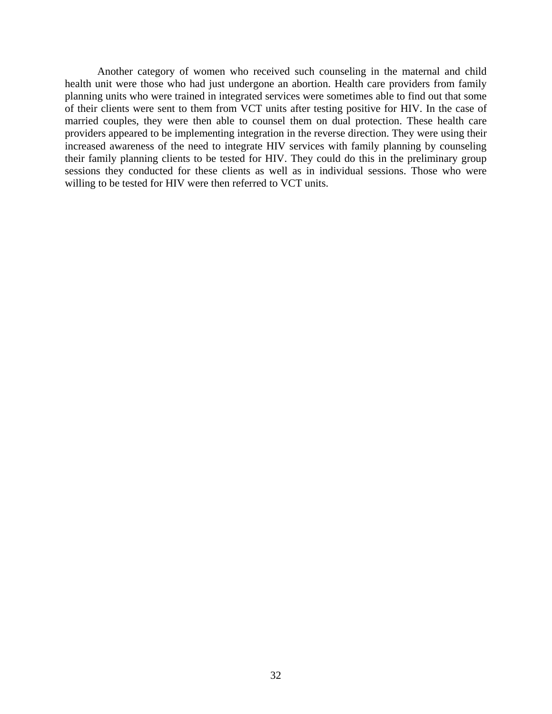Another category of women who received such counseling in the maternal and child health unit were those who had just undergone an abortion. Health care providers from family planning units who were trained in integrated services were sometimes able to find out that some of their clients were sent to them from VCT units after testing positive for HIV. In the case of married couples, they were then able to counsel them on dual protection. These health care providers appeared to be implementing integration in the reverse direction. They were using their increased awareness of the need to integrate HIV services with family planning by counseling their family planning clients to be tested for HIV. They could do this in the preliminary group sessions they conducted for these clients as well as in individual sessions. Those who were willing to be tested for HIV were then referred to VCT units.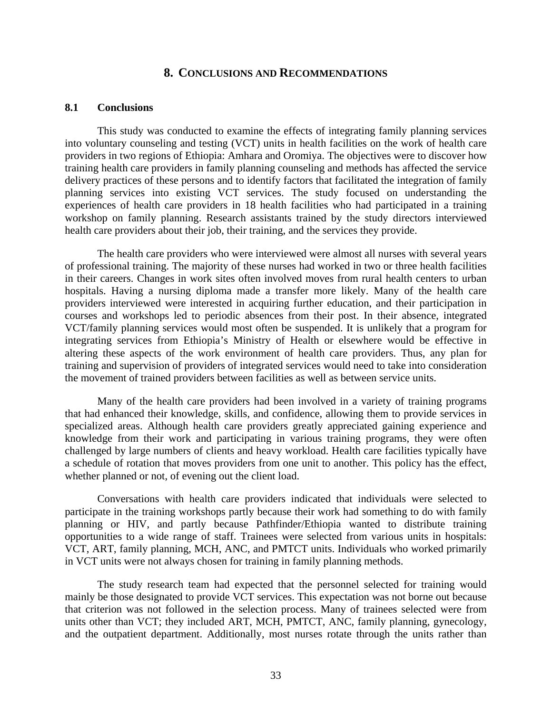#### **8. CONCLUSIONS AND RECOMMENDATIONS**

#### **8.1 Conclusions**

This study was conducted to examine the effects of integrating family planning services into voluntary counseling and testing (VCT) units in health facilities on the work of health care providers in two regions of Ethiopia: Amhara and Oromiya. The objectives were to discover how training health care providers in family planning counseling and methods has affected the service delivery practices of these persons and to identify factors that facilitated the integration of family planning services into existing VCT services. The study focused on understanding the experiences of health care providers in 18 health facilities who had participated in a training workshop on family planning. Research assistants trained by the study directors interviewed health care providers about their job, their training, and the services they provide.

The health care providers who were interviewed were almost all nurses with several years of professional training. The majority of these nurses had worked in two or three health facilities in their careers. Changes in work sites often involved moves from rural health centers to urban hospitals. Having a nursing diploma made a transfer more likely. Many of the health care providers interviewed were interested in acquiring further education, and their participation in courses and workshops led to periodic absences from their post. In their absence, integrated VCT/family planning services would most often be suspended. It is unlikely that a program for integrating services from Ethiopia's Ministry of Health or elsewhere would be effective in altering these aspects of the work environment of health care providers. Thus, any plan for training and supervision of providers of integrated services would need to take into consideration the movement of trained providers between facilities as well as between service units.

Many of the health care providers had been involved in a variety of training programs that had enhanced their knowledge, skills, and confidence, allowing them to provide services in specialized areas. Although health care providers greatly appreciated gaining experience and knowledge from their work and participating in various training programs, they were often challenged by large numbers of clients and heavy workload. Health care facilities typically have a schedule of rotation that moves providers from one unit to another. This policy has the effect, whether planned or not, of evening out the client load.

Conversations with health care providers indicated that individuals were selected to participate in the training workshops partly because their work had something to do with family planning or HIV, and partly because Pathfinder/Ethiopia wanted to distribute training opportunities to a wide range of staff. Trainees were selected from various units in hospitals: VCT, ART, family planning, MCH, ANC, and PMTCT units. Individuals who worked primarily in VCT units were not always chosen for training in family planning methods.

The study research team had expected that the personnel selected for training would mainly be those designated to provide VCT services. This expectation was not borne out because that criterion was not followed in the selection process. Many of trainees selected were from units other than VCT; they included ART, MCH, PMTCT, ANC, family planning, gynecology, and the outpatient department. Additionally, most nurses rotate through the units rather than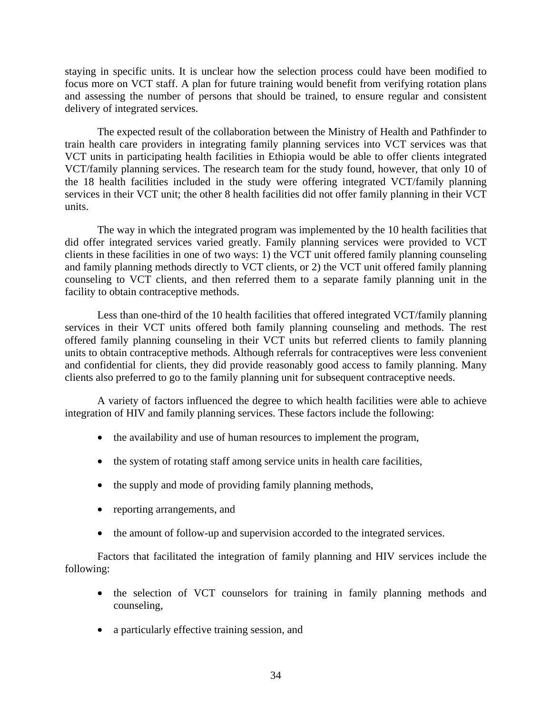staying in specific units. It is unclear how the selection process could have been modified to focus more on VCT staff. A plan for future training would benefit from verifying rotation plans and assessing the number of persons that should be trained, to ensure regular and consistent delivery of integrated services.

The expected result of the collaboration between the Ministry of Health and Pathfinder to train health care providers in integrating family planning services into VCT services was that VCT units in participating health facilities in Ethiopia would be able to offer clients integrated VCT/family planning services. The research team for the study found, however, that only 10 of the 18 health facilities included in the study were offering integrated VCT/family planning services in their VCT unit; the other 8 health facilities did not offer family planning in their VCT units.

The way in which the integrated program was implemented by the 10 health facilities that did offer integrated services varied greatly. Family planning services were provided to VCT clients in these facilities in one of two ways: 1) the VCT unit offered family planning counseling and family planning methods directly to VCT clients, or 2) the VCT unit offered family planning counseling to VCT clients, and then referred them to a separate family planning unit in the facility to obtain contraceptive methods.

Less than one-third of the 10 health facilities that offered integrated VCT/family planning services in their VCT units offered both family planning counseling and methods. The rest offered family planning counseling in their VCT units but referred clients to family planning units to obtain contraceptive methods. Although referrals for contraceptives were less convenient and confidential for clients, they did provide reasonably good access to family planning. Many clients also preferred to go to the family planning unit for subsequent contraceptive needs.

A variety of factors influenced the degree to which health facilities were able to achieve integration of HIV and family planning services. These factors include the following:

- the availability and use of human resources to implement the program,
- the system of rotating staff among service units in health care facilities,
- the supply and mode of providing family planning methods,
- reporting arrangements, and
- the amount of follow-up and supervision accorded to the integrated services.

Factors that facilitated the integration of family planning and HIV services include the following:

- the selection of VCT counselors for training in family planning methods and counseling,
- a particularly effective training session, and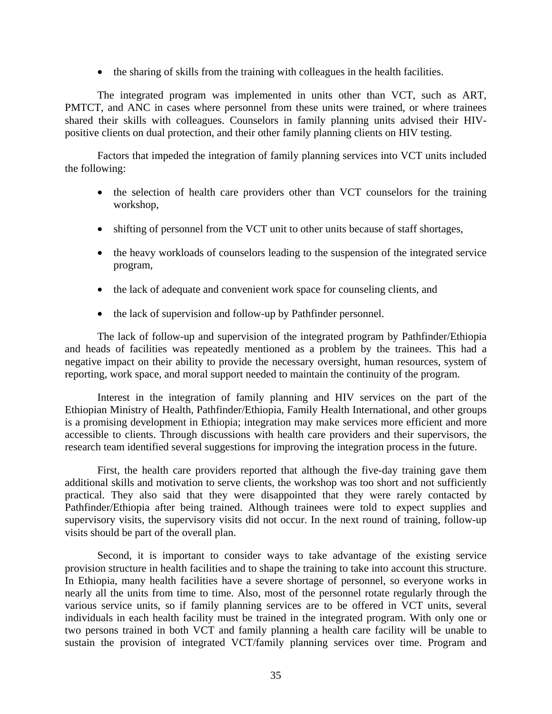• the sharing of skills from the training with colleagues in the health facilities.

The integrated program was implemented in units other than VCT, such as ART, PMTCT, and ANC in cases where personnel from these units were trained, or where trainees shared their skills with colleagues. Counselors in family planning units advised their HIVpositive clients on dual protection, and their other family planning clients on HIV testing.

Factors that impeded the integration of family planning services into VCT units included the following:

- the selection of health care providers other than VCT counselors for the training workshop,
- shifting of personnel from the VCT unit to other units because of staff shortages,
- the heavy workloads of counselors leading to the suspension of the integrated service program,
- the lack of adequate and convenient work space for counseling clients, and
- the lack of supervision and follow-up by Pathfinder personnel.

The lack of follow-up and supervision of the integrated program by Pathfinder/Ethiopia and heads of facilities was repeatedly mentioned as a problem by the trainees. This had a negative impact on their ability to provide the necessary oversight, human resources, system of reporting, work space, and moral support needed to maintain the continuity of the program.

Interest in the integration of family planning and HIV services on the part of the Ethiopian Ministry of Health, Pathfinder/Ethiopia, Family Health International, and other groups is a promising development in Ethiopia; integration may make services more efficient and more accessible to clients. Through discussions with health care providers and their supervisors, the research team identified several suggestions for improving the integration process in the future.

First, the health care providers reported that although the five-day training gave them additional skills and motivation to serve clients, the workshop was too short and not sufficiently practical. They also said that they were disappointed that they were rarely contacted by Pathfinder/Ethiopia after being trained. Although trainees were told to expect supplies and supervisory visits, the supervisory visits did not occur. In the next round of training, follow-up visits should be part of the overall plan.

Second, it is important to consider ways to take advantage of the existing service provision structure in health facilities and to shape the training to take into account this structure. In Ethiopia, many health facilities have a severe shortage of personnel, so everyone works in nearly all the units from time to time. Also, most of the personnel rotate regularly through the various service units, so if family planning services are to be offered in VCT units, several individuals in each health facility must be trained in the integrated program. With only one or two persons trained in both VCT and family planning a health care facility will be unable to sustain the provision of integrated VCT/family planning services over time. Program and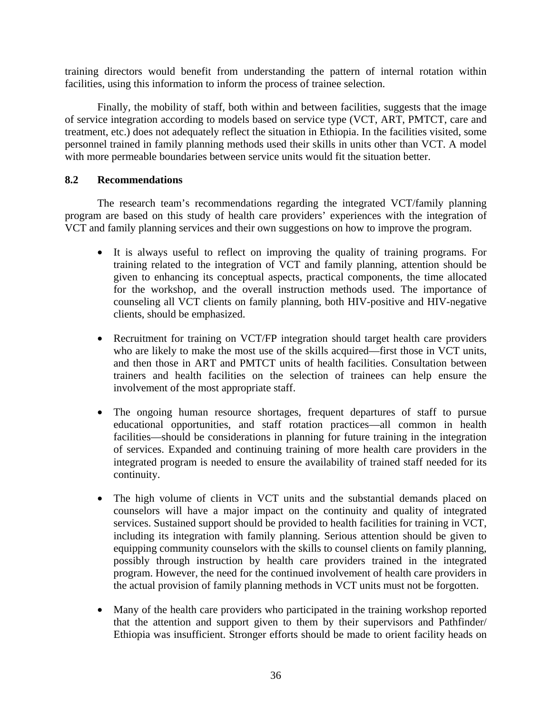training directors would benefit from understanding the pattern of internal rotation within facilities, using this information to inform the process of trainee selection.

Finally, the mobility of staff, both within and between facilities, suggests that the image of service integration according to models based on service type (VCT, ART, PMTCT, care and treatment, etc.) does not adequately reflect the situation in Ethiopia. In the facilities visited, some personnel trained in family planning methods used their skills in units other than VCT. A model with more permeable boundaries between service units would fit the situation better.

#### **8.2 Recommendations**

The research team's recommendations regarding the integrated VCT/family planning program are based on this study of health care providers' experiences with the integration of VCT and family planning services and their own suggestions on how to improve the program.

- It is always useful to reflect on improving the quality of training programs. For training related to the integration of VCT and family planning, attention should be given to enhancing its conceptual aspects, practical components, the time allocated for the workshop, and the overall instruction methods used. The importance of counseling all VCT clients on family planning, both HIV-positive and HIV-negative clients, should be emphasized.
- Recruitment for training on VCT/FP integration should target health care providers who are likely to make the most use of the skills acquired—first those in VCT units, and then those in ART and PMTCT units of health facilities. Consultation between trainers and health facilities on the selection of trainees can help ensure the involvement of the most appropriate staff.
- The ongoing human resource shortages, frequent departures of staff to pursue educational opportunities, and staff rotation practices—all common in health facilities—should be considerations in planning for future training in the integration of services. Expanded and continuing training of more health care providers in the integrated program is needed to ensure the availability of trained staff needed for its continuity.
- The high volume of clients in VCT units and the substantial demands placed on counselors will have a major impact on the continuity and quality of integrated services. Sustained support should be provided to health facilities for training in VCT, including its integration with family planning. Serious attention should be given to equipping community counselors with the skills to counsel clients on family planning, possibly through instruction by health care providers trained in the integrated program. However, the need for the continued involvement of health care providers in the actual provision of family planning methods in VCT units must not be forgotten.
- Many of the health care providers who participated in the training workshop reported that the attention and support given to them by their supervisors and Pathfinder/ Ethiopia was insufficient. Stronger efforts should be made to orient facility heads on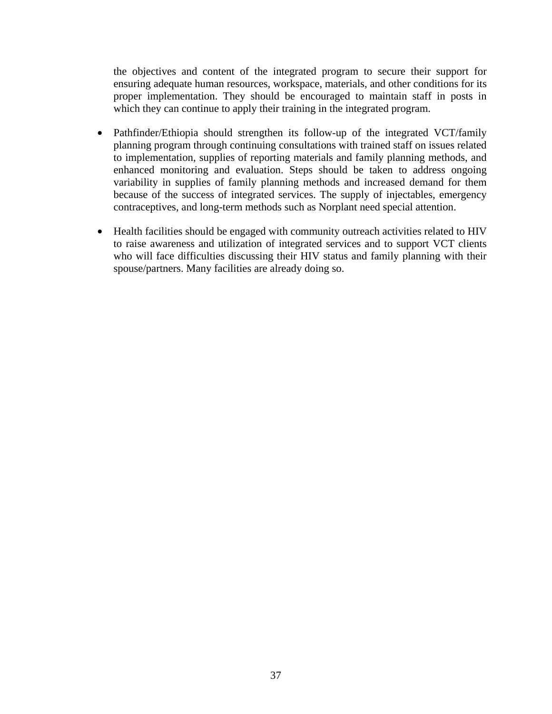the objectives and content of the integrated program to secure their support for ensuring adequate human resources, workspace, materials, and other conditions for its proper implementation. They should be encouraged to maintain staff in posts in which they can continue to apply their training in the integrated program.

- Pathfinder/Ethiopia should strengthen its follow-up of the integrated VCT/family planning program through continuing consultations with trained staff on issues related to implementation, supplies of reporting materials and family planning methods, and enhanced monitoring and evaluation. Steps should be taken to address ongoing variability in supplies of family planning methods and increased demand for them because of the success of integrated services. The supply of injectables, emergency contraceptives, and long-term methods such as Norplant need special attention.
- Health facilities should be engaged with community outreach activities related to HIV to raise awareness and utilization of integrated services and to support VCT clients who will face difficulties discussing their HIV status and family planning with their spouse/partners. Many facilities are already doing so.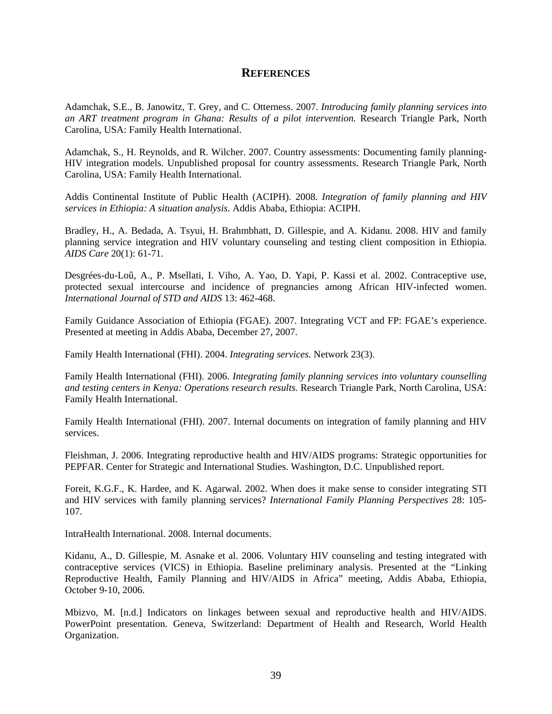#### **REFERENCES**

Adamchak, S.E., B. Janowitz, T. Grey, and C. Otterness. 2007. *Introducing family planning services into an ART treatment program in Ghana: Results of a pilot intervention.* Research Triangle Park, North Carolina, USA: Family Health International.

Adamchak, S., H. Reynolds, and R. Wilcher. 2007. Country assessments: Documenting family planning-HIV integration models. Unpublished proposal for country assessments. Research Triangle Park, North Carolina, USA: Family Health International.

Addis Continental Institute of Public Health (ACIPH). 2008. *Integration of family planning and HIV services in Ethiopia: A situation analysis*. Addis Ababa, Ethiopia: ACIPH.

Bradley, H., A. Bedada, A. Tsyui, H. Brahmbhatt, D. Gillespie, and A. Kidanu. 2008. HIV and family planning service integration and HIV voluntary counseling and testing client composition in Ethiopia. *AIDS Care* 20(1): 61-71.

Desgrées-du-Loû, A., P. Msellati, I. Viho, A. Yao, D. Yapi, P. Kassi et al. 2002. Contraceptive use, protected sexual intercourse and incidence of pregnancies among African HIV-infected women. *International Journal of STD and AIDS* 13: 462-468.

Family Guidance Association of Ethiopia (FGAE). 2007. Integrating VCT and FP: FGAE's experience. Presented at meeting in Addis Ababa, December 27, 2007.

Family Health International (FHI). 2004. *Integrating services.* Network 23(3).

Family Health International (FHI). 2006. *Integrating family planning services into voluntary counselling and testing centers in Kenya: Operations research results.* Research Triangle Park, North Carolina, USA: Family Health International.

Family Health International (FHI). 2007. Internal documents on integration of family planning and HIV services.

Fleishman, J. 2006. Integrating reproductive health and HIV/AIDS programs: Strategic opportunities for PEPFAR. Center for Strategic and International Studies. Washington, D.C. Unpublished report.

Foreit, K.G.F., K. Hardee, and K. Agarwal. 2002. When does it make sense to consider integrating STI and HIV services with family planning services? *International Family Planning Perspectives* 28: 105- 107.

IntraHealth International. 2008. Internal documents.

Kidanu, A., D. Gillespie, M. Asnake et al. 2006. Voluntary HIV counseling and testing integrated with contraceptive services (VICS) in Ethiopia. Baseline preliminary analysis. Presented at the "Linking Reproductive Health, Family Planning and HIV/AIDS in Africa" meeting, Addis Ababa, Ethiopia, October 9-10, 2006.

Mbizvo, M. [n.d.] Indicators on linkages between sexual and reproductive health and HIV/AIDS. PowerPoint presentation. Geneva, Switzerland: Department of Health and Research, World Health Organization.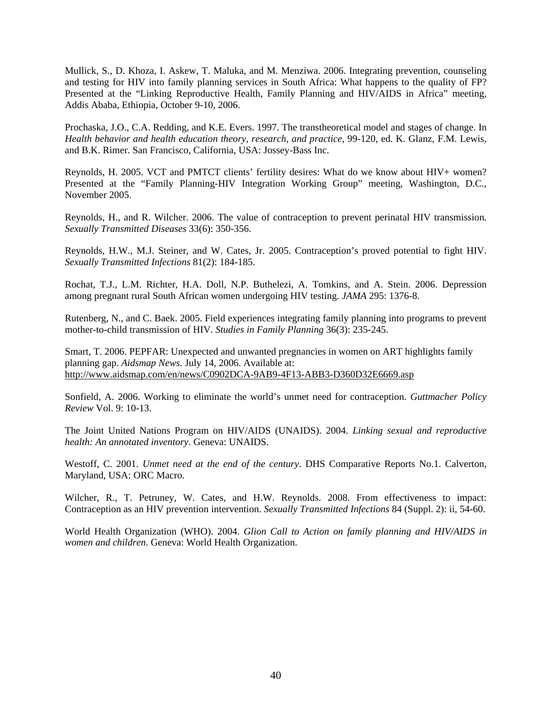Mullick, S., D. Khoza, I. Askew, T. Maluka, and M. Menziwa. 2006. Integrating prevention, counseling and testing for HIV into family planning services in South Africa: What happens to the quality of FP? Presented at the "Linking Reproductive Health, Family Planning and HIV/AIDS in Africa" meeting, Addis Ababa, Ethiopia, October 9-10, 2006.

Prochaska, J.O., C.A. Redding, and K.E. Evers. 1997. The transtheoretical model and stages of change. In *Health behavior and health education theory, research, and practice*, 99-120, ed. K. Glanz, F.M. Lewis, and B.K. Rimer. San Francisco, California, USA: Jossey-Bass Inc.

Reynolds, H. 2005. VCT and PMTCT clients' fertility desires: What do we know about HIV+ women? Presented at the "Family Planning-HIV Integration Working Group" meeting, Washington, D.C., November 2005.

Reynolds, H., and R. Wilcher. 2006. The value of contraception to prevent perinatal HIV transmission*. Sexually Transmitted Diseases* 33(6): 350-356.

Reynolds, H.W., M.J. Steiner, and W. Cates, Jr. 2005. Contraception's proved potential to fight HIV. *Sexually Transmitted Infections* 81(2): 184-185.

Rochat, T.J., L.M. Richter, H.A. Doll, N.P. Buthelezi, A. Tomkins, and A. Stein. 2006. Depression among pregnant rural South African women undergoing HIV testing. *JAMA* 295: 1376-8.

Rutenberg, N., and C. Baek. 2005. Field experiences integrating family planning into programs to prevent mother-to-child transmission of HIV. *Studies in Family Planning* 36(3): 235-245.

Smart, T. 2006. PEPFAR: Unexpected and unwanted pregnancies in women on ART highlights family planning gap. *Aidsmap News*. July 14, 2006. Available at: http://www.aidsmap.com/en/news/C0902DCA-9AB9-4F13-ABB3-D360D32E6669.asp

Sonfield, A. 2006. Working to eliminate the world's unmet need for contraception. *Guttmacher Policy Review* Vol. 9: 10-13.

The Joint United Nations Program on HIV/AIDS (UNAIDS). 2004. *Linking sexual and reproductive health: An annotated inventory*. Geneva: UNAIDS.

Westoff, C. 2001. *Unmet need at the end of the century*. DHS Comparative Reports No.1. Calverton, Maryland, USA: ORC Macro.

Wilcher, R., T. Petruney, W. Cates, and H.W. Reynolds. 2008. From effectiveness to impact: Contraception as an HIV prevention intervention. *Sexually Transmitted Infections* 84 (Suppl. 2): ii, 54-60.

World Health Organization (WHO). 2004. *Glion Call to Action on family planning and HIV/AIDS in women and children*. Geneva: World Health Organization.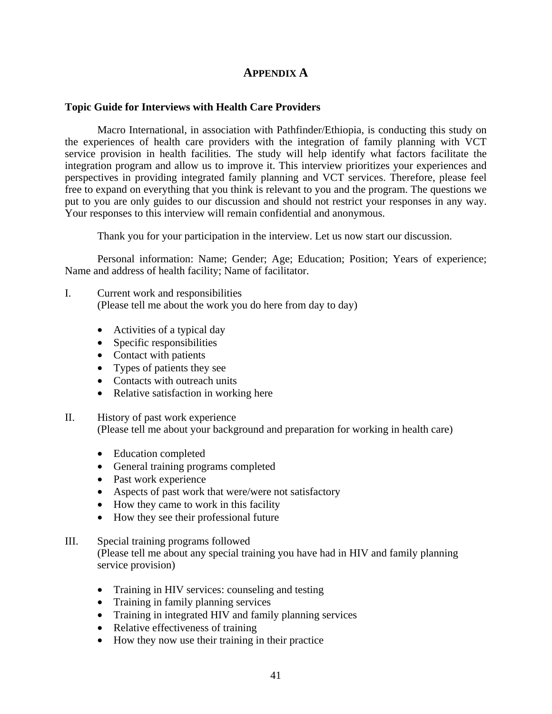#### **APPENDIX A**

#### **Topic Guide for Interviews with Health Care Providers**

Macro International, in association with Pathfinder/Ethiopia, is conducting this study on the experiences of health care providers with the integration of family planning with VCT service provision in health facilities. The study will help identify what factors facilitate the integration program and allow us to improve it. This interview prioritizes your experiences and perspectives in providing integrated family planning and VCT services. Therefore, please feel free to expand on everything that you think is relevant to you and the program. The questions we put to you are only guides to our discussion and should not restrict your responses in any way. Your responses to this interview will remain confidential and anonymous.

Thank you for your participation in the interview. Let us now start our discussion.

Personal information: Name; Gender; Age; Education; Position; Years of experience; Name and address of health facility; Name of facilitator.

- I. Current work and responsibilities (Please tell me about the work you do here from day to day)
	- Activities of a typical day
	- Specific responsibilities
	- Contact with patients
	- Types of patients they see
	- Contacts with outreach units
	- Relative satisfaction in working here
- II. History of past work experience

(Please tell me about your background and preparation for working in health care)

- Education completed
- General training programs completed
- Past work experience
- Aspects of past work that were/were not satisfactory
- How they came to work in this facility
- How they see their professional future
- III. Special training programs followed

(Please tell me about any special training you have had in HIV and family planning service provision)

- Training in HIV services: counseling and testing
- Training in family planning services
- Training in integrated HIV and family planning services
- Relative effectiveness of training
- How they now use their training in their practice